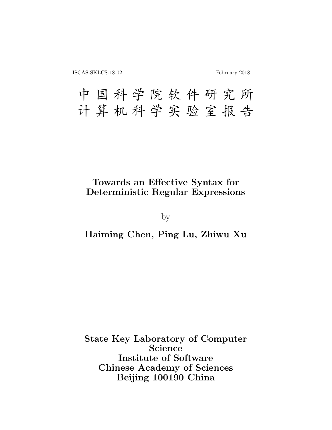# 中国科学院软件研究所 计算机科学实验室报告

## Towards an Effective Syntax for Deterministic Regular Expressions

by

## Haiming Chen, Ping Lu, Zhiwu Xu

State Key Laboratory of Computer Science Institute of Software Chinese Academy of Sciences Beijing 100190 China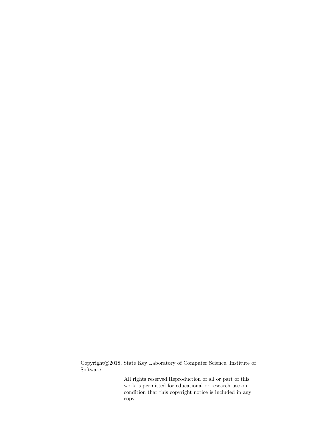Copyright©2018, State Key Laboratory of Computer Science, Institute of Software.

> All rights reserved.Reproduction of all or part of this work is permitted for educational or research use on condition that this copyright notice is included in any copy.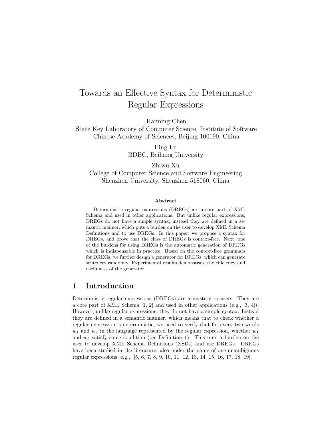## Towards an Effective Syntax for Deterministic Regular Expressions

Haiming Chen

State Key Laboratory of Computer Science, Institute of Software Chinese Academy of Sciences, Beijing 100190, China

> Ping Lu BDBC, Beihang University

Zhiwu Xu College of Computer Science and Software Engineering Shenzhen University, Shenzhen 518060, China

#### Abstract

Deterministic regular expressions (DREGs) are a core part of XML Schema and used in other applications. But unlike regular expressions, DREGs do not have a simple syntax, instead they are defined in a semantic manner, which puts a burden on the user to develop XML Schema Definitions and to use DREGs. In this paper, we propose a syntax for DREGs, and prove that the class of DREGs is context-free. Next, one of the burdens for using DREGs is the automatic generation of DREGs which is indispensable in practice. Based on the context-free grammars for DREGs, we further design a generator for DREGs, which can generate sentences randomly. Experimental results demonstrate the efficiency and usefulness of the generator.

## 1 Introduction

Deterministic regular expressions (DREGs) are a mystery to users. They are a core part of XML Schema [1, 2] and used in other applications (e.g., [3, 4]). However, unlike regular expressions, they do not have a simple syntax. Instead they are defined in a semantic manner, which means that to check whether a regular expression is deterministic, we need to verify that for every two words  $w_1$  and  $w_2$  in the language represented by the regular expression, whether  $w_1$ and  $w_2$  satisfy some condition (see Definition 1). This puts a burden on the user to develop XML Schema Definitions (XSDs) and use DREGs. DREGs have been studied in the literature, also under the name of one-unambiguous regular expressions, e.g., [5, 6, 7, 8, 9, 10, 11, 12, 13, 14, 15, 16, 17, 18, 19].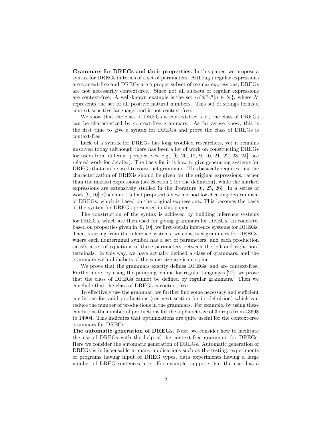Grammars for DREGs and their properties. In this paper, we propose a syntax for DREGs in terms of a set of parameters. Although regular expressions are context-free and DREGs are a proper subset of regular expressions, DREGs are not necessarily context-free. Since not all subsets of regular expressions are context-free. A well-known example is the set  $\{a^nb^nc^n|n \in \mathcal{N}\}\,$ , where  $\mathcal{N}$ represents the set of all positive natural numbers. This set of strings forms a context-sensitive language, and is not context-free.

We show that the class of DREGs is context-free, i.e., the class of DREGs can be characterized by context-free grammars. As far as we know, this is the first time to give a syntax for DREGs and prove the class of DREGs is context-free.

Lack of a syntax for DREGs has long troubled researchers, yet it remains unsolved today (although there has been a lot of work on constructing DREGs for users from different perspectives, e.g., [6, 20, 12, 9, 10, 21, 22, 23, 24], see related work for details.). The basis for it is how to give generating systems for DREGs that can be used to construct grammars. This basically requires that the characterization of DREGs should be given for the original expressions, rather than the marked expressions (see Section 2 for the definition), while the marked expressions are extensively studied in the literature [6, 25, 26]. In a series of work [9, 10], Chen and Lu had proposed a new method for checking determinism of DREGs, which is based on the original expressions. This becomes the basis of the syntax for DREGs presented in this paper.

The construction of the syntax is achieved by building inference systems for DREGs, which are then used for giving grammars for DREGs. In concrete, based on properties given in [9, 10], we first obtain inference systems for DREGs. Then, starting from the inference systems, we construct grammars for DREGs, where each nonterminal symbol has a set of parameters, and each production satisfy a set of equations of these parameters between the left and right nonterminals. In this way, we have actually defined a class of grammars, and the grammars with alphabets of the same size are isomorphic.

We prove that the grammars exactly defines DREGs, and are context-free. Furthermore, by using the pumping lemma for regular languages [27], we prove that the class of DREGs cannot be defined by regular grammars. Then we conclude that the class of DREGs is context-free.

To effectively use the grammar, we further find some necessary and sufficient conditions for valid productions (see next section for its definition) which can reduce the number of productions in the grammars. For example, by using these conditions the number of productions for the alphabet size of 3 drops from 43698 to 14904. This indicates that optimizations are quite useful for the context-free grammars for DREGs.

The automatic generation of DREGs. Next, we consider how to facilitate the use of DREGs with the help of the context-free grammars for DREGs. Here we consider the automatic generation of DREGs. Automatic generation of DREGs is indispensable in many applications such as the testing, experiments of programs having input of DREG types, data experiments having a large number of DREG sentences, etc. For example, suppose that the user has a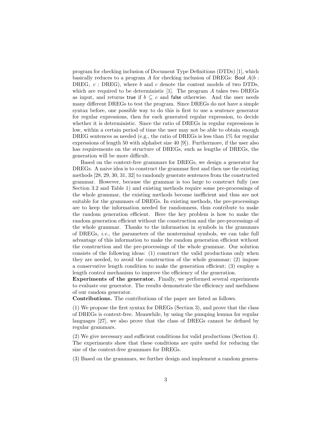program for checking inclusion of Document Type Definitions (DTDs) [1], which basically reduces to a program A for checking inclusion of DREGs: Bool  $A(b:$ DREG,  $c$ : DREG), where b and c denote the content models of two DTDs, which are required to be deterministic [1]. The program A takes two DREGs as input, and returns true if  $b \subseteq c$  and false otherwise. And the user needs many different DREGs to test the program. Since DREGs do not have a simple syntax before, one possible way to do this is first to use a sentence generator for regular expressions, then for each generated regular expression, to decide whether it is deterministic. Since the ratio of DREGs in regular expressions is low, within a certain period of time the user may not be able to obtain enough DREG sentences as needed (e.g., the ratio of DREGs is less than  $1\%$  for regular expressions of length 50 with alphabet size 40 [9]). Furthermore, if the user also has requirements on the structure of DREGs, such as lengths of DREGs, the generation will be more difficult.

Based on the context-free grammars for DREGs, we design a generator for DREGs. A naive idea is to construct the grammar first and then use the existing methods [28, 29, 30, 31, 32] to randomly generate sentences from the constructed grammar. However, because the grammar is too large to construct fully (see Section 3.2 and Table 1) and existing methods require some pre-processings of the whole grammar, the existing methods become inefficient and thus are not suitable for the grammars of DREGs. In existing methods, the pre-processings are to keep the information needed for randomness, thus contribute to make the random generation efficient. Here the key problem is how to make the random generation efficient without the construction and the pre-processings of the whole grammar. Thanks to the information in symbols in the grammars of DREGs, i.e., the parameters of the nonterminal symbols, we can take full advantage of this information to make the random generation efficient without the construction and the pre-processings of the whole grammar. Our solution consists of the following ideas: (1) construct the valid productions only when they are needed, to avoid the construction of the whole grammar; (2) impose a conservative length condition to make the generation efficient; (3) employ a length control mechanism to improve the efficiency of the generation.

Experiments of the generator. Finally, we performed several experiments to evaluate our generator. The results demonstrate the efficiency and usefulness of our random generator.

Contributions. The contributions of the paper are listed as follows.

(1) We propose the first syntax for DREGs (Section 3), and prove that the class of DREGs is context-free. Meanwhile, by using the pumping lemma for regular languages [27], we also prove that the class of DREGs cannot be defined by regular grammars.

(2) We give necessary and sufficient conditions for valid productions (Section 4). The experiments show that these conditions are quite useful for reducing the size of the context-free grammars for DREGs.

(3) Based on the grammars, we further design and implement a random genera-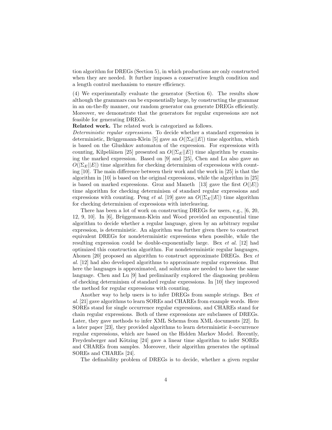tion algorithm for DREGs (Section 5), in which productions are only constructed when they are needed. It further imposes a conservative length condition and a length control mechanism to ensure efficiency.

(4) We experimentally evaluate the generator (Section 6). The results show although the grammars can be exponentially large, by constructing the grammar in an on-the-fly manner, our random generator can generate DREGs efficiently. Moreover, we demonstrate that the generators for regular expressions are not feasible for generating DREGs.

Related work. The related work is categorized as follows.

Deterministic regular expressions. To decide whether a standard expression is deterministic, Brüggemann-Klein [5] gave an  $O(|\Sigma_E||E|)$  time algorithm, which is based on the Glushkov automaton of the expression. For expressions with counting, Kilpeläinen [25] presented an  $O(|\Sigma_E||E|)$  time algorithm by examining the marked expression. Based on [9] and [25], Chen and Lu also gave an  $O(|\Sigma_E||E|)$  time algorithm for checking determinism of expressions with counting [10]. The main difference between their work and the work in [25] is that the algorithm in [10] is based on the original expressions, while the algorithm in [25] is based on marked expressions. Groz and Maneth [13] gave the first  $O(|E|)$ time algorithm for checking determinism of standard regular expressions and expressions with counting. Peng *et al.* [19] gave an  $O(|\Sigma_E||E|)$  time algorithm for checking determinism of expressions with interleaving.

There has been a lot of work on constructing DREGs for users, e.g., [6, 20, 12, 9, 10]. In [6], Brüggemann-Klein and Wood provided an exponential time algorithm to decide whether a regular language, given by an arbitrary regular expression, is deterministic. An algorithm was further given there to construct equivalent DREGs for nondeterministic expressions when possible, while the resulting expression could be double-exponentially large. Bex et al. [12] had optimized this construction algorithm. For nondeterministic regular languages, Ahonen [20] proposed an algorithm to construct approximate DREGs. Bex et al. [12] had also developed algorithms to approximate regular expressions. But here the languages is approximated, and solutions are needed to have the same language. Chen and Lu [9] had preliminarily explored the diagnosing problem of checking determinism of standard regular expressions. In [10] they improved the method for regular expressions with counting.

Another way to help users is to infer DREGs from sample strings. Bex et al. [21] gave algorithms to learn SOREs and CHAREs from example words. Here SOREs stand for single occurrence regular expressions, and CHAREs stand for chain regular expressions. Both of these expressions are subclasses of DREGs. Later, they gave methods to infer XML Schema from XML documents [22]. In a later paper  $[23]$ , they provided algorithms to learn deterministic k-occurrence regular expressions, which are based on the Hidden Markov Model. Recently, Freydenberger and Kötzing [24] gave a linear time algorithm to infer SOREs and CHAREs from samples. Moreover, their algorithm generates the optimal SOREs and CHAREs [24].

The definability problem of DREGs is to decide, whether a given regular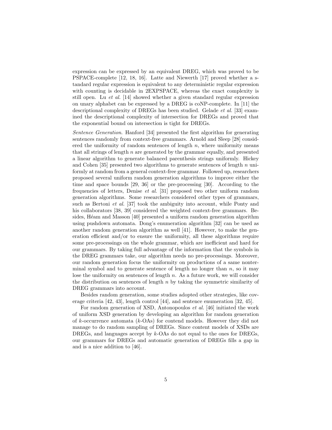expression can be expressed by an equivalent DREG, which was proved to be PSPACE-complete [12, 18, 16]. Latte and Niewerth [17] proved whether a standard regular expression is equivalent to any deterministic regular expression with counting is decidable in 2EXPSPACE, whereas the exact complexity is still open. Lu et al. [14] showed whether a given standard regular expression on unary alphabet can be expressed by a DREG is coNP-complete. In [11] the descriptional complexity of DREGs has been studied. Gelade et al. [33] examined the descriptional complexity of intersection for DREGs and proved that the exponential bound on intersection is tight for DREGs.

Sentence Generation. Hanford [34] presented the first algorithm for generating sentences randomly from context-free grammars. Arnold and Sleep [28] considered the uniformity of random sentences of length  $n$ , where uniformity means that all strings of length  $n$  are generated by the grammar equally, and presented a linear algorithm to generate balanced parenthesis strings uniformly. Hickey and Cohen [35] presented two algorithms to generate sentences of length  $n$  uniformly at random from a general context-free grammar. Followed up, researchers proposed several uniform random generation algorithms to improve either the time and space bounds [29, 36] or the pre-processing [30]. According to the frequencies of letters, Denise et al. [31] proposed two other uniform random generation algorithms. Some researchers considered other types of grammars, such as Bertoni et al. [37] took the ambiguity into account, while Ponty and his collaborators [38, 39] considered the weighted context-free grammars. Besides, Héam and Masson [40] presented a uniform random generation algorithm using pushdown automata. Dong's enumeration algorithm [32] can be used as another random generation algorithm as well [41]. However, to make the generation efficient and/or to ensure the uniformity, all these algorithms require some pre-processings on the whole grammar, which are inefficient and hard for our grammars. By taking full advantage of the information that the symbols in the DREG grammars take, our algorithm needs no pre-processings. Moreover, our random generation focus the uniformity on productions of a same nonterminal symbol and to generate sentence of length no longer than  $n$ , so it may lose the uniformity on sentences of length  $n$ . As a future work, we will consider the distribution on sentences of length  $n$  by taking the symmetric similarity of DREG grammars into account.

Besides random generation, some studies adopted other strategies, like coverage criteria [42, 43], length control [44], and sentence enumeration [32, 45].

For random generation of XSD, Antonopoulos et al. [46] initiated the work of uniform XSD generation by developing an algorithm for random generation of k-occurrence automata  $(k-*O*As)$  for contend models. However they did not manage to do random sampling of DREGs. Since content models of XSDs are DREGs, and languages accept by k-OAs do not equal to the ones for DREGs, our grammars for DREGs and automatic generation of DREGs fills a gap in and is a nice addition to [46].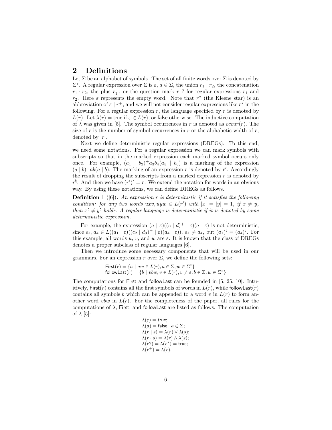## 2 Definitions

Let  $\Sigma$  be an alphabet of symbols. The set of all finite words over  $\Sigma$  is denoted by  $\Sigma^*$ . A regular expression over  $\Sigma$  is  $\varepsilon, a \in \Sigma$ , the union  $r_1 | r_2$ , the concatenation  $r_1 \cdot r_2$ , the plus  $r_1^+$ , or the question mark  $r_1$ ? for regular expressions  $r_1$  and  $r_2$ . Here  $\varepsilon$  represents the empty word. Note that  $r^*$  (the Kleene star) is an abbreviation of  $\varepsilon | r^+$ , and we will not consider regular expressions like  $r^*$  in the following. For a regular expression  $r$ , the language specified by  $r$  is denoted by  $L(r)$ . Let  $\lambda(r) =$  true if  $\varepsilon \in L(r)$ , or false otherwise. The inductive computation of  $\lambda$  was given in [5]. The symbol occurrences in r is denoted as  $occur(r)$ . The size of r is the number of symbol occurrences in r or the alphabetic width of  $r$ , denoted by  $|r|$ .

Next we define deterministic regular expressions (DREGs). To this end, we need some notations. For a regular expression we can mark symbols with subscripts so that in the marked expression each marked symbol occurs only once. For example,  $(a_1 | b_2)^+ a_3 b_4 (a_5 | b_6)$  is a marking of the expression  $(a | b)^+ ab(a | b)$ . The marking of an expression r is denoted by r'. Accordingly the result of dropping the subscripts from a marked expression  $r$  is denoted by  $r^{\natural}$ . And then we have  $(r')^{\natural} = r$ . We extend the notation for words in an obvious way. By using these notations, we can define DREGs as follows.

**Definition 1** ([6]). An expression r is deterministic if it satisfies the following condition: for any two words uxv, uyw  $\in L(r')$  with  $|x| = |y| = 1$ , if  $x \neq y$ , then  $x^{\natural} \neq y^{\natural}$  holds. A regular language is deterministic if it is denoted by some deterministic expression.

For example, the expression  $(a | \varepsilon)$  $((c | d)^+ | \varepsilon)$  $(a | \varepsilon)$  is not deterministic, since  $a_1, a_4 \in L((a_1 \mid \varepsilon)((c_2 \mid d_3)^+ \mid \varepsilon)(a_4 \mid \varepsilon)), a_1 \neq a_4$ , but  $(a_1)^\natural = (a_4)^\natural$ . For this example, all words u, v, and w are  $\varepsilon$ . It is known that the class of DREGs denotes a proper subclass of regular languages [6].

Then we introduce some necessary components that will be used in our grammars. For an expression r over  $\Sigma$ , we define the following sets:

> First(r) =  $\{a \mid aw \in L(r), a \in \Sigma, w \in \Sigma^*\}$ followLast $(r) = \{b \mid vbw, v \in L(r), v \neq \varepsilon, b \in \Sigma, w \in \Sigma^*\}$

The computations for First and followLast can be founded in [5, 25, 10]. Intuitively, First(r) contains all the first symbols of words in  $L(r)$ , while followLast(r) contains all symbols b which can be appended to a word v in  $L(r)$  to form another word vbw in  $L(r)$ . For the completeness of the paper, all rules for the computations of  $\lambda$ , First, and followLast are listed as follows. The computation of  $\lambda$  [5]:

$$
\begin{array}{l} \lambda(\varepsilon) = \text{true}; \\ \lambda(a) = \text{false}, \ a \in \Sigma; \\ \lambda(r \mid s) = \lambda(r) \vee \lambda(s); \\ \lambda(r \cdot s) = \lambda(r) \wedge \lambda(s); \\ \lambda(r?) = \lambda(r^*) = \text{true}; \\ \lambda(r^+) = \lambda(r). \end{array}
$$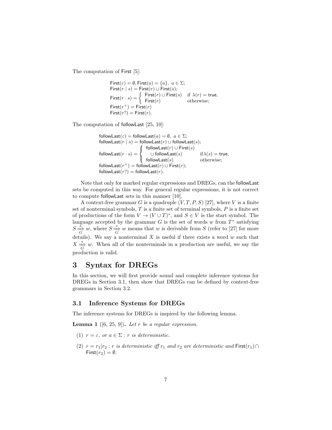The computation of First [5]:

First(
$$
\varepsilon
$$
) =  $\emptyset$ , First( $a$ ) = { $a$ },  $a \in \Sigma$ ;  
\nFirst( $r \mid s$ ) = First( $r$ )  $\cup$  First( $s$ );  
\nFirst( $r \cdot s$ ) = { First( $r$ )  $\cup$  First( $s$ ) if  $\lambda(r)$  = true,  
\nFirst( $r^+$ ) = First( $r$ ) otherwise;  
\nFirst( $r$ ?) = First( $r$ ).

The computation of followLast [25, 10]:

followLast( $\varepsilon$ ) = followLast( $a$ ) =  $\emptyset$ ,  $a \in \Sigma$ ; followLast( $r | s$ ) = followLast( $r$ ) ∪ followLast( $s$ ); followLast $(r\cdot s)=$  $\sqrt{ }$ J  $\mathcal{L}$ followLast $(r) \cup \mathsf{First}(s)$ ∪ followLast $(s)$  if $\lambda(s)$  = true,  $\mathsf{followLast}(s)$  otherwise;  $\mathsf{followLast}(r^+) = \mathsf{followLast}(r) \cup \mathsf{First}(r);$ followLast $(r?)$  = followLast $(r)$ .

Note that only for marked regular expressions and DREGs, can the followLast sets be computed in this way. For general regular expressions, it is not correct to compute followLast sets in this manner [10].

A context-free grammar G is a quadruple  $(V, T, P, S)$  [27], where V is a finite set of nonterminal symbols,  $T$  is a finite set of terminal symbols,  $P$  is a finite set of productions of the form  $V \to (V \cup T)^*$ , and  $S \in V$  is the start symbol. The language accepted by the grammar  $G$  is the set of words  $w$  from  $T^*$  satisfying  $S \frac{\ast}{\overline{G}} w$ , where  $S \frac{\ast}{\overline{G}} w$  means that w is derivable from S (refer to [27] for more details). We say a nonterminal  $X$  is useful if there exists a word  $w$  such that  $X \stackrel{*}{\Rightarrow} w$ . When all of the nonterminals in a production are useful, we say the production is valid.

## 3 Syntax for DREGs

In this section, we will first provide sound and complete inference systems for DREGs in Section 3.1, then show that DREGs can be defined by context-free grammars in Section 3.2.

### 3.1 Inference Systems for DREGs

The inference systems for DREGs is inspired by the following lemma.

**Lemma 1** ([6, 25, 9]). Let r be a regular expression.

- (1)  $r = \varepsilon$ , or  $a \in \Sigma$ : r is deterministic.
- (2)  $r = r_1|r_2 : r$  is deterministic iff  $r_1$  and  $r_2$  are deterministic and First $(r_1) \cap$ First $(r_2) = \emptyset$ .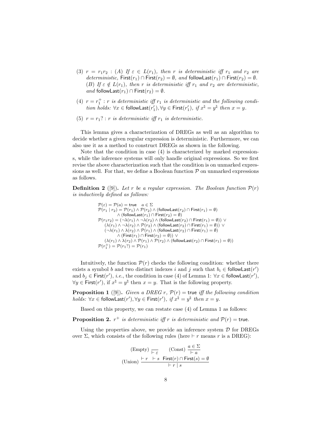- (3)  $r = r_1r_2$  : (A) If  $\varepsilon \in L(r_1)$ , then r is deterministic iff  $r_1$  and  $r_2$  are deterministic, First( $r_1$ ) ∩ First( $r_2$ ) =  $\emptyset$ , and followLast( $r_1$ ) ∩ First( $r_2$ ) =  $\emptyset$ . (B) If  $\varepsilon \notin L(r_1)$ , then r is deterministic iff  $r_1$  and  $r_2$  are deterministic, and followLast $(r_1) \cap$  First $(r_2) = \emptyset$ .
- (4)  $r = r_1^+ : r$  is deterministic iff  $r_1$  is deterministic and the following condition holds:  $\forall x \in \textsf{followLast}(r'_1), \forall y \in \textsf{First}(r'_1), \text{ if } x^\natural = y^\natural \text{ then } x = y.$
- (5)  $r = r_1$ ? : r is deterministic iff  $r_1$  is deterministic.

This lemma gives a characterization of DREGs as well as an algorithm to decide whether a given regular expression is deterministic. Furthermore, we can also use it as a method to construct DREGs as shown in the following.

Note that the condition in case (4) is characterized by marked expressions, while the inference systems will only handle original expressions. So we first revise the above characterization such that the condition is on unmarked expressions as well. For that, we define a Boolean function  $P$  on unmarked expressions as follows.

**Definition 2** ([9]). Let r be a regular expression. The Boolean function  $\mathcal{P}(r)$ is inductively defined as follows:

$$
\begin{array}{ll} \mathcal{P}(\varepsilon)=\mathcal{P}(a)=\mathsf{true} & a\in\Sigma\\ \mathcal{P}(r_1\mid r_2)=\mathcal{P}(r_1)\wedge\mathcal{P}(r_2)\wedge(\mathsf{followLast}(r_2)\cap\mathsf{First}(r_1)=\emptyset)\\ &\wedge\;(\mathsf{followLast}(r_1)\cap\mathsf{First}(r_2)=\emptyset)\\ \mathcal{P}(r_1r_2)=\left(\neg\lambda(r_1)\wedge\neg\lambda(r_2)\wedge(\mathsf{followLast}(r_2)\cap\mathsf{First}(r_1)=\emptyset)\right)\vee\\ &(\lambda(r_1)\wedge\neg\lambda(r_2)\wedge\mathcal{P}(r_2)\wedge(\mathsf{followLast}(r_2)\cap\mathsf{First}(r_1)=\emptyset))\vee\\ &(\neg\lambda(r_1)\wedge\lambda(r_2)\wedge\mathcal{P}(r_1)\wedge(\mathsf{followLast}(r_2)\cap\mathsf{First}(r_1)=\emptyset)\\ &\wedge\;(\mathsf{First}(r_1)\cap\mathsf{First}(r_2)=\emptyset))\vee\\ &(\lambda(r_1)\wedge\lambda(r_2)\wedge\mathcal{P}(r_1)\wedge\mathcal{P}(r_2)\wedge(\mathsf{followLast}(r_2)\cap\mathsf{First}(r_1)=\emptyset))\\ \mathcal{P}(r_1^+) =\mathcal{P}(r_1?)=\mathcal{P}(r_1)\end{array}
$$

Intuitively, the function  $\mathcal{P}(r)$  checks the following condition: whether there exists a symbol b and two distinct indexes i and j such that  $b_i \in \text{followLast}(r')$ and  $b_j \in$  First $(r')$ , *i.e.*, the condition in case (4) of Lemma 1:  $\forall x \in$  followLast $(r')$ ,  $\forall y \in \textsf{First}(r'), \text{ if } x^{\natural} = y^{\natural} \text{ then } x = y. \text{ That is the following property.}$ 

**Proposition 1** ([9]). Given a DREG r,  $\mathcal{P}(r)$  = true iff the following condition  $holds: \forall x \in \mathsf{followLast}(r'), \forall y \in \mathsf{First}(r'), \text{ if } x^\natural = y^\natural \text{ then } x = y.$ 

Based on this property, we can restate case (4) of Lemma 1 as follows:

**Proposition 2.**  $r^+$  is deterministic iff r is deterministic and  $\mathcal{P}(r)$  = true.

Using the properties above, we provide an inference system  $\mathcal D$  for DREGs over Σ, which consists of the following rules (here  $\vdash r$  means r is a DREG):

(Empty) 
$$
\xrightarrow{\leftarrow}
$$
 (Const)  $\frac{a \in \Sigma}{\leftarrow a}$   
(Union)  $\xrightarrow{\leftarrow} r \leftarrow s$  First(*r*)  $\cap$  First(*s*) =  $\emptyset$   
 $\xrightarrow{\leftarrow} r \mid s$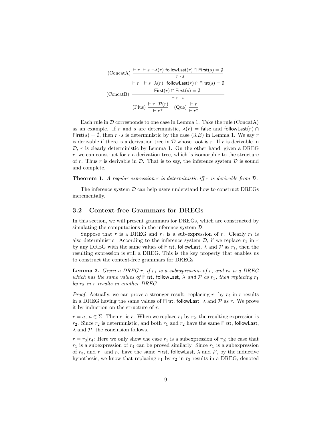(ConcatA) 
$$
\frac{\vdash r \vdash s \neg \lambda(r) \text{ followLast}(r) \cap \text{First}(s) = \emptyset}{\vdash r \cdot s} \qquad \qquad \vdash r \vdash s \ \lambda(r) \text{ followLast}(r) \cap \text{First}(s) = \emptyset
$$
\n(ConcatB) 
$$
\frac{\text{First}(r) \cap \text{First}(s) = \emptyset}{\vdash r \cdot s} \qquad \qquad \vdots
$$
\n(Plus) 
$$
\frac{\vdash r \ \mathcal{P}(r)}{\vdash r^+} \quad \text{(Que) } \frac{\vdash r}{\vdash r^?}
$$

Each rule in  $\mathcal D$  corresponds to one case in Lemma 1. Take the rule (ConcatA) as an example. If r and s are deterministic,  $\lambda(r) =$  false and followLast $(r) \cap$ First(s) =  $\emptyset$ , then  $r \cdot s$  is deterministic by the case (3.B) in Lemma 1. We say r is derivable if there is a derivation tree in  $\mathcal D$  whose root is r. If r is derivable in  $D, r$  is clearly deterministic by Lemma 1. On the other hand, given a DREG  $r$ , we can construct for  $r$  a derivation tree, which is isomorphic to the structure of r. Thus r is derivable in  $\mathcal{D}$ . That is to say, the inference system  $\mathcal D$  is sound and complete.

**Theorem 1.** A regular expression r is deterministic iff r is derivable from  $D$ .

The inference system  $\mathcal D$  can help users understand how to construct DREGs incrementally.

#### 3.2 Context-free Grammars for DREGs

In this section, we will present grammars for DREGs, which are constructed by simulating the computations in the inference system D.

Suppose that r is a DREG and  $r_1$  is a sub-expression of r. Clearly  $r_1$  is also deterministic. According to the inference system  $\mathcal{D}$ , if we replace  $r_1$  in r by any DREG with the same values of First, followLast,  $\lambda$  and  $\mathcal P$  as  $r_1$ , then the resulting expression is still a DREG. This is the key property that enables us to construct the context-free grammars for DREGs.

**Lemma 2.** Given a DREG r, if  $r_1$  is a subexpression of r, and  $r_2$  is a DREG which has the same values of First, followLast,  $\lambda$  and  $P$  as  $r_1$ , then replacing  $r_1$ by  $r_2$  in r results in another DREG.

*Proof.* Actually, we can prove a stronger result: replacing  $r_1$  by  $r_2$  in r results in a DREG having the same values of First, followLast,  $\lambda$  and  $\mathcal P$  as r. We prove it by induction on the structure of r.

 $r = a, a \in \Sigma$ : Then  $r_1$  is r. When we replace  $r_1$  by  $r_2$ , the resulting expression is  $r_2$ . Since  $r_2$  is deterministic, and both  $r_1$  and  $r_2$  have the same First, followLast,  $\lambda$  and  $\mathcal{P}$ , the conclusion follows.

 $r = r_3 | r_4$ : Here we only show the case  $r_1$  is a subexpression of  $r_3$ ; the case that  $r_1$  is a subexpression of  $r_4$  can be proved similarly. Since  $r_1$  is a subexpression of  $r_3$ , and  $r_1$  and  $r_2$  have the same First, followLast,  $\lambda$  and  $\mathcal{P}$ , by the inductive hypothesis, we know that replacing  $r_1$  by  $r_2$  in  $r_3$  results in a DREG, denoted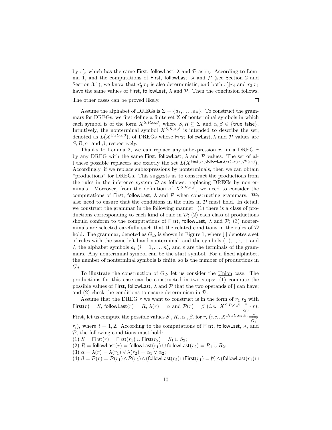by  $r'_3$ , which has the same First, followLast,  $\lambda$  and  $\mathcal P$  as  $r_3$ . According to Lemma 1, and the computations of First, followLast,  $\lambda$  and  $\mathcal P$  (see Section 2 and Section 3.1), we know that  $r'_3|r_4$  is also deterministic, and both  $r'_3|r_4$  and  $r_3|r_4$ have the same values of First, followLast,  $\lambda$  and  $\mathcal{P}$ . Then the conclusion follows.

The other cases can be proved likely.

 $\Box$ 

Assume the alphabet of DREGs is  $\Sigma = \{a_1, \ldots, a_n\}$ . To construct the grammars for DREGs, we first define a finite set  $\mathbb X$  of nonterminal symbols in which each symbol is of the form  $X^{S,R,\alpha,\beta}$ , where  $S, R \subseteq \Sigma$  and  $\alpha, \beta \in \{\text{true}, \text{false}\}.$ Intuitively, the nonterminal symbol  $X^{S,R,\alpha,\beta}$  is intended to describe the set, denoted as  $L(X^{S,R,\alpha,\beta})$ , of DREGs whose First, followLast,  $\lambda$  and  $\mathcal P$  values are  $S, R, \alpha$ , and  $\beta$ , respectively.

Thanks to Lemma 2, we can replace any subexpression  $r_1$  in a DREG  $r$ by any DREG with the same First, followLast,  $\lambda$  and  $\mathcal P$  values. The set of all these possible replacers are exactly the set  $L(X^{\text{First}(r_1),\text{followLast}(r_1),\lambda(r_1),\mathcal{P}(r_1)})$ . Accordingly, if we replace subexpressions by nonterminals, then we can obtain "productions" for DREGs. This suggests us to construct the productions from the rules in the inference system  $D$  as follows: replacing DREGs by nonterminals. Moreover, from the definition of  $X^{S,R,\alpha,\beta}$ , we need to consider the computations of First, followLast,  $\lambda$  and  $\mathcal P$  when constructing grammars. We also need to ensure that the conditions in the rules in  $\mathcal D$  must hold. In detail, we construct the grammar in the following manner: (1) there is a class of productions corresponding to each kind of rule in  $\mathcal{D}$ ; (2) each class of productions should conform to the computations of First, followLast,  $\lambda$  and  $\mathcal{P}$ ; (3) nonterminals are selected carefully such that the related conditions in the rules of  $D$ hold. The grammar, denoted as  $G_d$ , is shown in Figure 1, where  $\bigcup$  denotes a set of rules with the same left hand nonterminal, and the symbols  $(, 0, 0, 0, \cdot, +$  and ?, the alphabet symbols  $a_i$   $(i = 1, \ldots, n)$ , and  $\varepsilon$  are the terminals of the grammars. Any nonterminal symbol can be the start symbol. For a fixed alphabet, the number of nonterminal symbols is finite, so is the number of productions in  $G_d$ .

To illustrate the construction of  $G_d$ , let us consider the Union case. The productions for this case can be constructed in two steps: (1) compute the possible values of First, followLast,  $\lambda$  and  $\mathcal P$  that the two operands of  $|$  can have; and  $(2)$  check the conditions to ensure determinism in  $\mathcal{D}$ .

Assume that the DREG r we want to construct is in the form of  $r_1|r_2$  with First(r) = S, followLast(r) = R,  $\lambda(r) = \alpha$  and  $\mathcal{P}(r) = \beta$  (*i.e.*,  $X^{S,R,\alpha,\beta} \stackrel{*}{\underset{G_d}{\longrightarrow}} r$ ). First, let us compute the possible values  $S_i, R_i, \alpha_i, \beta_i$  for  $r_i$  (*i.e.*,  $X^{S_i, R_i, \alpha_i, \beta_i} \frac{*}{G_d}$  $r_i$ ), where  $i = 1, 2$ . According to the computations of First, followLast,  $\lambda$ , and  $P$ , the following conditions must hold: (1)  $S =$  First $(r) =$  First $(r_1) \cup$  First $(r_2) = S_1 \cup S_2$ ; (2)  $R =$  followLast $(r) =$  followLast $(r_1) \cup$  followLast $(r_2) = R_1 \cup R_2$ ; (3)  $\alpha = \lambda(r) = \lambda(r_1) \vee \lambda(r_2) = \alpha_1 \vee \alpha_2;$ (4)  $\beta = \mathcal{P}(r) = \mathcal{P}(r_1) \wedge \mathcal{P}(r_2) \wedge (\text{followLast}(r_2) \cap \text{First}(r_1) = \emptyset) \wedge (\text{followLast}(r_1) \cap$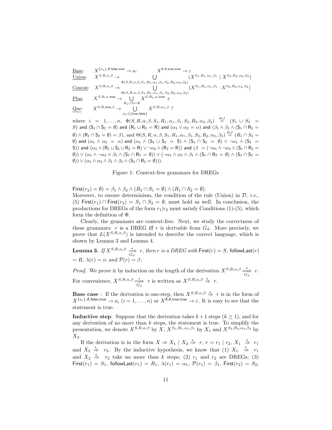$$
\begin{array}{llll} \underline{\text{Base}}: & X^{\{a_i\},\emptyset,\text{false,true} \to a_i} & X^{\emptyset,\emptyset,\text{true,true}} \to \varepsilon \\ \underline{\text{Union}}: & X^{S,R,\alpha,\beta} \to \bigcup_{\Phi(S,R,\alpha,\beta,S_1,R_1,\alpha_1,\beta_1,S_2,R_2,\alpha_2,\beta_2)} (X^{S_1,R_1,\alpha_1,\beta_1} \mid X^{S_2,R_2,\alpha_2,\beta_2}) \\ \underline{\text{Concat}}: & X^{S,R,\alpha,\beta} \to \bigcup_{\Theta(S,R,\alpha,\beta,S_1,R_1,\alpha_1,\beta_1,S_2,R_2,\alpha_2,\beta_2)} (X^{S_1,R_1,\alpha_1,\beta_1} \cdot X^{S_2,R_2,\alpha_2,\beta_2}) \\ \underline{\text{Plus}}: & X^{S,R,\alpha,\text{true}} \to \bigcup_{R_1 \cup S = R} X^{S,R_1,\alpha,\text{true}} + \\ \underline{\text{Que:}} & X^{S,R,\text{true},\beta} \to \bigcup_{\alpha_1 \in \{\text{true},\text{false}\}} X^{S,R,\alpha_1,\beta} \end{array}
$$

where  $i = 1, ..., n$ ,  $\Phi(S, R, \alpha, \beta, S_1, R_1, \alpha_1, \beta_1, S_2, R_2, \alpha_2, \beta_2) \stackrel{def}{=} (S_1 \cup S_2)$ S) and  $(S_1 \cap S_2 = \emptyset)$  and  $(R_1 \cup R_2 = R)$  and  $(\alpha_1 \vee \alpha_2 = \alpha)$  and  $(\beta_1 \wedge \beta_2 \wedge (S_1 \cap R_2 =$  $\emptyset$ )  $\wedge$   $(R_1 \cap S_2 = \emptyset) = \beta$ , and  $\Theta(S, R, \alpha, \beta, S_1, R_1, \alpha_1, \beta_1, S_2, R_2, \alpha_2, \beta_2) \stackrel{def}{=} (R_1 \cap S_2 =$ (b) and  $(\alpha_1 \wedge \alpha_2 = \alpha)$  and  $(\alpha_1 \wedge (S_1 \cup S_2 = S) \wedge (S_1 \cap S_2 = \emptyset) \vee \neg \alpha_1 \wedge (S_1 = S_2 \cup S_2 = \emptyset)$ S)) and  $(\alpha_2 \wedge (R_1 \cup S_2 \cup R_2 = R) \vee \neg \alpha_2 \wedge (R_2 = R))$  and  $(\beta = (\neg \alpha_1 \wedge \neg \alpha_2 \wedge (S_1 \cap R_2 = R))$  $(\emptyset)$ )  $\vee$   $(\alpha_1 \wedge \neg \alpha_2 \wedge \beta_2 \wedge (S_1 \cap R_2 = \emptyset))$   $\vee$   $(\neg \alpha_1 \wedge \alpha_2 \wedge \beta_1 \wedge (S_1 \cap R_2 = \emptyset) \wedge (S_1 \cap S_2 = \emptyset))$  $(\emptyset)$ )  $\vee$   $(\alpha_1 \wedge \alpha_2 \wedge \beta_1 \wedge \beta_2 \wedge (S_1 \cap R_2 = \emptyset))$ .

Figure 1: Context-free grammars for DREGs

First(r<sub>2</sub>) =  $\emptyset$ ) =  $\beta_1 \wedge \beta_2 \wedge (R_2 \cap S_1 = \emptyset) \wedge (R_1 \cap S_2 = \emptyset)$ . Moreover, to ensure determinism, the condition of the rule (Union) in  $\mathcal{D}$ , *i.e.*,

(5) First( $r_1$ ) ∩ First( $r_2$ ) =  $S_1 \cap S_2 = \emptyset$ , must hold as well. In conclusion, the productions for DREGs of the form  $r_1|r_2$  must satisfy Conditions (1)-(5), which form the definition of Φ.

Clearly, the grammars are context-free. Next, we study the correctness of these grammars: r is a DREG iff r is derivable from  $G_d$ . More precisely, we prove that  $L(X^{S,R,\alpha,\beta})$  is intended to describe the correct language, which is shown by Lemma 3 and Lemma 4.

**Lemma 3.** If  $X^{S,R,\alpha,\beta} \stackrel{*}{\Longrightarrow} r$ , then r is a DREG with  $\textsf{First}(r) = S$ , followLast $(r)$  $= R$ ,  $\lambda(r) = \alpha$  and  $\mathcal{P}(r) = \beta$ .

*Proof.* We prove it by induction on the length of the derivation  $X^{S,R,\alpha,\beta} \frac{\ast}{G_d}$  r. For convenience,  $X^{S,R,\alpha,\beta} \stackrel{*}{\Rightarrow} r$  is written as  $X^{S,R,\alpha,\beta} \stackrel{*}{\Rightarrow} r$ .

**Base case**: If the derivation is one-step, then  $X^{S,R,\alpha,\beta} \stackrel{*}{\Rightarrow} r$  is in the form of  $X^{\{a_i\},\emptyset, \mathsf{false}, \mathsf{true}} \to a_i$   $(i = 1, \ldots, n)$  or  $X^{\emptyset, \emptyset, \mathsf{true}, \mathsf{true}} \to \varepsilon$ . It is easy to see that the statement is true.

**Inductive step:** Suppose that the derivation takes  $k+1$  steps  $(k \geq 1)$ , and for any derivation of no more than  $k$  steps, the statement is true. To simplify the presentation, we denote  $X^{S,R,\alpha,\beta}$  by  $\overline{X}, \overline{X^{S_1,R_1,\alpha_1,\beta_1}}$  by  $X_1$  and  $\overline{X^{S_2,R_2,\alpha_2,\beta_2}}$  by  $X_2$ .

If the derivation is in the form  $X \Rightarrow X_1 \mid X_2 \stackrel{*}{\Rightarrow} r, r = r_1 \mid r_2, X_1 \stackrel{*}{\Rightarrow} r_1$ and  $X_2 \stackrel{*}{\Rightarrow} r_2$ . By the inductive hypothesis, we know that (1)  $X_1 \stackrel{*}{\Rightarrow} r_1$ and  $X_2 \stackrel{*}{\Rightarrow} r_2$  take no more than k steps; (2)  $r_1$  and  $r_2$  are DREGs; (3) First $(r_1) = S_1$ , followLast $(r_1) = R_1$ ,  $\lambda(r_1) = \alpha_1$ ,  $\mathcal{P}(r_1) = \beta_1$ , First $(r_2) = S_2$ ,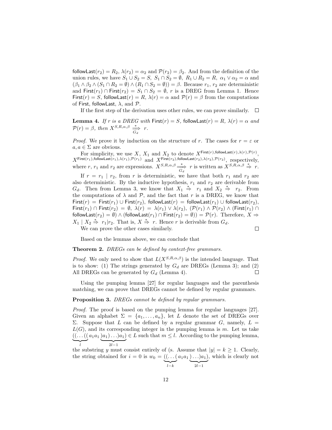followLast( $r_2$ ) =  $R_2$ ,  $\lambda(r_2)$  =  $\alpha_2$  and  $\mathcal{P}(r_2) = \beta_2$ . And from the definition of the union rules, we have  $S_1 \cup S_2 = S$ ,  $S_1 \cap S_2 = \emptyset$ ,  $R_1 \cup R_2 = R$ ,  $\alpha_1 \vee \alpha_2 = \alpha$  and  $(\beta_1 \wedge \beta_2 \wedge (S_1 \cap R_2 = \emptyset) \wedge (R_1 \cap S_2 = \emptyset)) = \beta$ . Because  $r_1, r_2$  are deterministic and First( $r_1$ ) ∩ First( $r_2$ ) =  $S_1 \cap S_2 = \emptyset$ , r is a DREG from Lemma 1. Hence First(r) = S, followLast(r) = R,  $\lambda(r) = \alpha$  and  $\mathcal{P}(r) = \beta$  from the computations of First, followLast,  $\lambda$ , and  $\mathcal{P}$ .

If the first step of the derivation uses other rules, we can prove similarly.  $\Box$ 

Lemma 4. If r is a DREG with First $(r) = S$ , followLast $(r) = R$ ,  $\lambda(r) = \alpha$  and  $\mathcal{P}(r) = \beta$ , then  $X^{S,R,\alpha,\beta} \stackrel{*}{\Longrightarrow} r$ .

*Proof.* We prove it by induction on the structure of r. The cases for  $r = \varepsilon$  or  $a, a \in \Sigma$  are obvious.

For simplicity, we use X,  $X_1$  and  $X_2$  to denote  $X^{\mathsf{First}(r),\mathsf{followLast}(r),\lambda(r),\mathcal{P}(r)}$ ,  $X^{\mathsf{First}(r_1),\mathsf{followLast}(r_1),\lambda(r_1),\mathcal{P}(r_1)} \ \ \text{and} \ \ X^{\mathsf{First}(r_2),\mathsf{followLast}(r_2),\lambda(r_2),\mathcal{P}(r_2)}, \ \ \text{respectively},$ where r, r<sub>1</sub> and r<sub>2</sub> are expressions.  $X^{S,R,\alpha,\beta} \stackrel{*}{\Rightarrow} r$  is written as  $X^{S,R,\alpha,\beta} \stackrel{*}{\Rightarrow} r$ . If  $r = r_1 | r_2$ , from r is deterministic, we have that both  $r_1$  and  $r_2$  are also deterministic. By the inductive hypothesis,  $r_1$  and  $r_2$  are derivable from  $G_d$ . Then from Lemma 3, we know that  $X_1 \stackrel{*}{\Rightarrow} r_1$  and  $X_2 \stackrel{*}{\Rightarrow} r_2$ . From the computations of  $\lambda$  and  $\mathcal{P}$ , and the fact that r is a DREG, we know that First(r) = First(r<sub>1</sub>) ∪ First(r<sub>2</sub>), followLast(r) = followLast(r<sub>1</sub>) ∪ followLast(r<sub>2</sub>), First $(r_1)$  ∩ First $(r_2) = \emptyset$ ,  $\lambda(r) = \lambda(r_1) \vee \lambda(r_2)$ ,  $(\mathcal{P}(r_1) \wedge \mathcal{P}(r_2) \wedge (\text{First}(r_1) \cap$ followLast( $r_2$ ) = Ø) ∧ (followLast( $r_1$ ) ∩ First( $r_2$ ) = Ø)) =  $\mathcal{P}(r)$ . Therefore,  $X \Rightarrow$  $X_1 \mid X_2 \stackrel{*}{\Rightarrow} r_1 | r_2$ . That is,  $X \stackrel{*}{\Rightarrow} r$ . Hence r is derivable from  $G_d$ .

We can prove the other cases similarly.

$$
\Box
$$

Based on the lemmas above, we can conclude that

#### Theorem 2. DREGs can be defined by context-free grammars.

*Proof.* We only need to show that  $L(X^{S,R,\alpha,\beta})$  is the intended language. That is to show: (1) The strings generated by  $G_d$  are DREGs (Lemma 3); and (2) All DREGs can be generated by  $G_d$  (Lemma 4).  $\Box$ 

Using the pumping lemma [27] for regular languages and the parenthesis matching, we can prove that DREGs cannot be defined by regular grammars.

#### Proposition 3. DREGs cannot be defined by regular grammars.

Proof. The proof is based on the pumping lemma for regular languages [27]. Given an alphabet  $\Sigma = \{a_1, \ldots, a_n\}$ , let L denote the set of DREGs over Σ. Suppose that L can be defined by a regular grammar G, namely,  $L =$  $L(G)$ , and its corresponding integer in the pumping lemma is m. Let us take  $((\dots((a_1a_1)a_1)\dots)a_1)\in L$  such that  $m\leq l$ . According to the pumping lemma,  $\widetilde{\phantom{a}}$ l  $\overline{z l-1}$ 

the substring y must consist entirely of (s. Assume that  $|y| = k \ge 1$ . Clearly, the string obtained for  $i = 0$  is  $w_0 = ((\dots ($  $\sum_{l-k}$  $a_1a_1 \ldots a_1$  $\overline{2l-1}$ , which is clearly not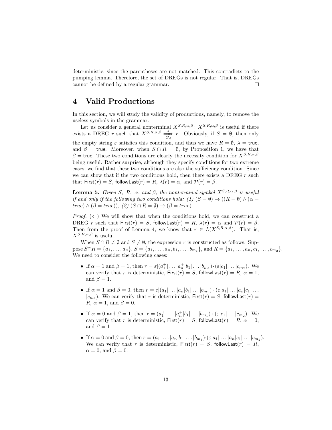deterministic, since the parentheses are not matched. This contradicts to the pumping lemma. Therefore, the set of DREGs is not regular. That is, DREGs cannot be defined by a regular grammar.  $\Box$ 

## 4 Valid Productions

In this section, we will study the validity of productions, namely, to remove the useless symbols in the grammar.

Let us consider a general nonterminal  $X^{S,R,\alpha,\beta}$ :  $X^{S,R,\alpha,\beta}$  is useful if there exists a DREG r such that  $X^{S,R,\alpha,\beta} \stackrel{*}{\underset{G_d}{\longrightarrow}} r$ . Obviously, if  $S = \emptyset$ , then only the empty string  $\varepsilon$  satisfies this condition, and thus we have  $R = \emptyset$ ,  $\lambda = \text{true}$ , and  $\beta$  = true. Moreover, when  $S \cap R = \emptyset$ , by Proposition 1, we have that  $\beta$  = true. These two conditions are clearly the necessity condition for  $X^{S,R,\alpha,\beta}$ being useful. Rather surprise, although they specify conditions for two extreme cases, we find that these two conditions are also the sufficiency condition. Since we can show that if the two conditions hold, then there exists a DREG  $r$  such that First(r) = S, followLast(r) = R,  $\lambda(r) = \alpha$ , and  $\mathcal{P}(r) = \beta$ .

**Lemma 5.** Given S, R,  $\alpha$ , and  $\beta$ , the nonterminal symbol  $X^{S,R,\alpha,\beta}$  is useful if and only if the following two conditions hold: (1)  $(S = \emptyset) \rightarrow ((R = \emptyset) \land (\alpha = \emptyset))$  $true) \wedge (\beta = true)$ ; (2)  $(S \cap R = \emptyset) \rightarrow (\beta = true)$ .

*Proof.* ( $\Leftarrow$ ) We will show that when the conditions hold, we can construct a DREG r such that  $First(r) = S$ , followLast $(r) = R$ ,  $\lambda(r) = \alpha$  and  $\mathcal{P}(r) = \beta$ . Then from the proof of Lemma 4, we know that  $r \in L(X^{S,R,\alpha,\beta})$ . That is,  $X^{S,R,\alpha,\beta}$  is useful.

When  $S \cap R \neq \emptyset$  and  $S \neq \emptyset$ , the expression r is constructed as follows. Suppose  $S \cap R = \{a_1, \ldots, a_n\}, S = \{a_1, \ldots, a_n, b_1, \ldots, b_{m_1}\}, \text{and } R = \{a_1, \ldots, a_n, c_1, \ldots, c_{m_2}\}.$ We need to consider the following cases:

- If  $\alpha = 1$  and  $\beta = 1$ , then  $r = \varepsilon | (a_1^+ | \dots | a_n^+ | b_1 | \dots | b_{m_1}) \cdot (\varepsilon | c_1 | \dots | c_{m_2})$ . We can verify that r is deterministic,  $First(r) = S$ , followLast $(r) = R$ ,  $\alpha = 1$ , and  $\beta = 1$ .
- If  $\alpha = 1$  and  $\beta = 0$ , then  $r = \varepsilon |(a_1| \dots | a_n | b_1 | \dots | b_{m_1}) \cdot (\varepsilon | a_1 | \dots | a_n | c_1 | \dots$  $|c_{m_2}|$ . We can verify that r is deterministic,  $First(r) = S$ , followLast $(r) =$ R,  $\alpha = 1$ , and  $\beta = 0$ .
- If  $\alpha = 0$  and  $\beta = 1$ , then  $r = (a_1^+ | \dots | a_n^+ | b_1 | \dots | b_{m_1}) \cdot (\varepsilon | c_1 | \dots | c_{m_2})$ . We can verify that r is deterministic,  $First(r) = S$ , followLast $(r) = R$ ,  $\alpha = 0$ , and  $\beta = 1$ .
- If  $\alpha = 0$  and  $\beta = 0$ , then  $r = (a_1 | \dots | a_n | b_1 | \dots | b_{m_1}) \cdot (\varepsilon | a_1 | \dots | a_n | c_1 | \dots | c_{m_2})$ . We can verify that r is deterministic,  $First(r) = S$ , followLast $(r) = R$ ,  $\alpha = 0$ , and  $\beta = 0$ .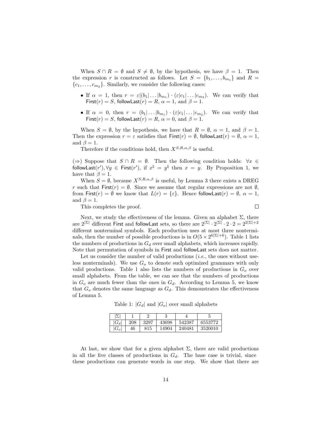When  $S \cap R = \emptyset$  and  $S \neq \emptyset$ , by the hypothesis, we have  $\beta = 1$ . Then the expression r is constructed as follows. Let  $S = \{b_1, \ldots, b_{m_1}\}\$  and  $R =$  $\{c_1, \ldots, c_{m_2}\}\.$  Similarly, we consider the following cases:

- If  $\alpha = 1$ , then  $r = \varepsilon | (b_1 | \dots | b_{m_1}) \cdot (\varepsilon | c_1 | \dots | c_{m_2})$ . We can verify that First(r) = S, followLast(r) = R,  $\alpha = 1$ , and  $\beta = 1$ .
- If  $\alpha = 0$ , then  $r = (b_1 | \dots | b_{m_1}) \cdot (\varepsilon | c_1 | \dots | c_{m_2})$ . We can verify that First(r) = S, followLast(r) = R,  $\alpha = 0$ , and  $\beta = 1$ .

When  $S = \emptyset$ , by the hypothesis, we have that  $R = \emptyset$ ,  $\alpha = 1$ , and  $\beta = 1$ . Then the expression  $r = \varepsilon$  satisfies that  $\text{First}(r) = \emptyset$ , followLast $(r) = \emptyset$ ,  $\alpha = 1$ , and  $\beta = 1$ .

Therefore if the conditions hold, then  $X^{S,R,\alpha,\beta}$  is useful.

(⇒) Suppose that  $S \cap R = \emptyset$ . Then the following condition holds:  $\forall x \in \mathbb{R}$ followLast $(r'), \forall y \in$  First $(r'),$  if  $x^{\natural} = y^{\natural}$  then  $x = y$ . By Proposition 1, we have that  $\beta = 1$ .

When  $S = \emptyset$ , because  $X^{S,R,\alpha,\beta}$  is useful, by Lemma 3 there exists a DREG r such that First(r) =  $\emptyset$ . Since we assume that regular expressions are not  $\emptyset$ , from First(r) =  $\emptyset$  we know that  $L(r) = {\varepsilon}$ . Hence followLast(r) =  $\emptyset$ ,  $\alpha = 1$ , and  $\beta = 1$ .

This completes the proof.

 $\Box$ 

Next, we study the effectiveness of the lemma. Given an alphabet  $\Sigma$ , there are  $2^{|\Sigma|}$  different First and followLast sets, so there are  $2^{|\Sigma|} \cdot 2^{|\Sigma|} \cdot 2 \cdot 2 = 2^{2|\Sigma|+2}$ different nonterminal symbols. Each production uses at most three nonterminals, then the number of possible productions is in  $O(5 \times 2^{6|\Sigma|+6})$ . Table 1 lists the numbers of productions in  $G_d$  over small alphabets, which increases rapidly. Note that permutation of symbols in First and followLast sets does not matter.

Let us consider the number of valid productions  $(i.e.,$  the ones without useless nonterminals). We use  $G<sub>o</sub>$  to denote such optimized grammars with only valid productions. Table 1 also lists the numbers of productions in  $G<sub>o</sub>$  over small alphabets. From the table, we can see that the numbers of productions in  $G<sub>o</sub>$  are much fewer than the ones in  $G<sub>d</sub>$ . According to Lemma 5, we know that  $G<sub>o</sub>$  denotes the same language as  $G<sub>d</sub>$ . This demonstrates the effectiveness of Lemma 5.

Table 1:  $|G_d|$  and  $|G_o|$  over small alphabets

| $\sqrt{ }$ |     | ∼    | IJ    |        |         |
|------------|-----|------|-------|--------|---------|
| $ G_d $    | 208 | 3297 | 43698 | 542387 | 6553772 |
| $\sigma_o$ | 46  | 815  | 14904 | 240481 | 3520010 |

At last, we show that for a given alphabet  $\Sigma$ , there are valid productions in all the five classes of productions in  $G_d$ . The base case is trivial, since these productions can generate words in one step. We show that there are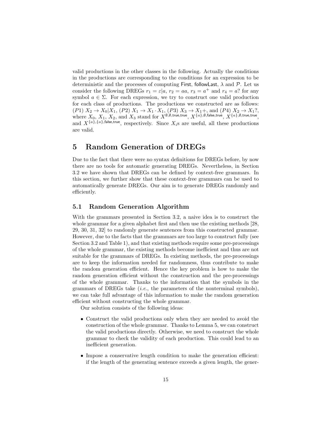valid productions in the other classes in the following. Actually the conditions in the productions are corresponding to the conditions for an expression to be deterministic and the processes of computing First, followLast,  $\lambda$  and  $\mathcal{P}$ . Let us consider the following DREGs  $r_1 = \varepsilon | a, r_2 = a a, r_3 = a^+$  and  $r_4 = a$ ? for any symbol  $a \in \Sigma$ . For each expression, we try to construct one valid production for each class of productions. The productions we constructed are as follows:  $(P1) X_2 \to X_0 | X_1, (P2) X_1 \to X_1 \cdot X_1, (P3) X_3 \to X_1 +$ , and  $(P4) X_2 \to X_1?$ , where  $X_0,\,X_1,\,X_2,$  and  $X_3$  stand for  $X^{\emptyset,\emptyset,\text{true,true}},\,X^{\{a\},\emptyset,\text{false,true}},\,X^{\{a\},\emptyset,\text{true,true}},$ and  $X^{\{a\},\{a\},\{\text{false},\text{true}\}}$ , respectively. Since  $X_i$ s are useful, all these productions are valid.

## 5 Random Generation of DREGs

Due to the fact that there were no syntax definitions for DREGs before, by now there are no tools for automatic generating DREGs. Nevertheless, in Section 3.2 we have shown that DREGs can be defined by context-free grammars. In this section, we further show that these context-free grammars can be used to automatically generate DREGs. Our aim is to generate DREGs randomly and efficiently.

### 5.1 Random Generation Algorithm

With the grammars presented in Section 3.2, a naive idea is to construct the whole grammar for a given alphabet first and then use the existing methods [28, 29, 30, 31, 32] to randomly generate sentences from this constructed grammar. However, due to the facts that the grammars are too large to construct fully (see Section 3.2 and Table 1), and that existing methods require some pre-processings of the whole grammar, the existing methods become inefficient and thus are not suitable for the grammars of DREGs. In existing methods, the pre-processings are to keep the information needed for randomness, thus contribute to make the random generation efficient. Hence the key problem is how to make the random generation efficient without the construction and the pre-processings of the whole grammar. Thanks to the information that the symbols in the grammars of DREGs take  $(i.e.,$  the parameters of the nonterminal symbols), we can take full advantage of this information to make the random generation efficient without constructing the whole grammar.

Our solution consists of the following ideas:

- Construct the valid productions only when they are needed to avoid the construction of the whole grammar. Thanks to Lemma 5, we can construct the valid productions directly. Otherwise, we need to construct the whole grammar to check the validity of each production. This could lead to an inefficient generation.
- Impose a conservative length condition to make the generation efficient: if the length of the generating sentence exceeds a given length, the gener-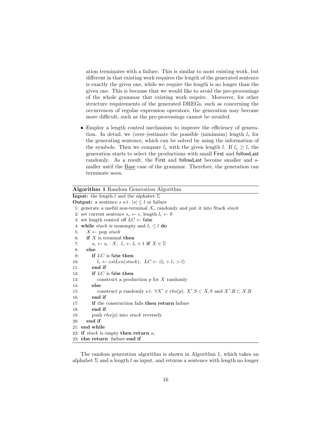ation terminates with a failure. This is similar to most existing work, but different in that existing work requires the length of the generated sentence is exactly the given one, while we require the length is no longer than the given one. This is because that we would like to avoid the pre-processings of the whole grammar that existing work require. Moreover, for other structure requirements of the generated DREGs, such as concerning the occurrences of regular expression operators, the generation may become more difficult, such as the pre-processings cannot be avoided.

• Employ a length control mechanism to improve the efficiency of generation. In detail, we (over-)estimate the possible (minimum) length  $l_e$  for the generating sentence, which can be solved by using the information of the symbols. Then we compare  $l_e$  with the given length l. If  $l_e \geq l$ , the generation starts to select the productions with small First and followLast randomly. As a result, the First and followLast become smaller and smaller until the Base case of the grammar. Therefore, the generation can terminate soon.

| <b>Algorithm 1</b> Random Generation Algorithm                                                       |  |  |  |  |  |  |
|------------------------------------------------------------------------------------------------------|--|--|--|--|--|--|
| <b>Input:</b> the length l and the alphabet $\Sigma$                                                 |  |  |  |  |  |  |
| <b>Output:</b> a sentence <i>s</i> s.t. $ s  \leq l$ or failure                                      |  |  |  |  |  |  |
| 1: generate a useful non-terminal $X_s$ randomly and put it into Stack stack                         |  |  |  |  |  |  |
| 2: set current sentence $s_c \leftarrow \epsilon$ , length $l_c \leftarrow 0$                        |  |  |  |  |  |  |
| 3: set length control off $LC \leftarrow$ false                                                      |  |  |  |  |  |  |
| 4: while <i>stack</i> is nonempty and $l_c \leq l$ do                                                |  |  |  |  |  |  |
| $X \leftarrow \text{pop stack}$<br>5.                                                                |  |  |  |  |  |  |
| <b>if</b> $X$ is terminal then<br>6.                                                                 |  |  |  |  |  |  |
| $s_c \leftarrow s_c \cdot X$ , $l_c \leftarrow l_c + 1$ if $X \in \Sigma$<br>7:                      |  |  |  |  |  |  |
| else<br>8:                                                                                           |  |  |  |  |  |  |
| if $LC$ is false then<br>9:                                                                          |  |  |  |  |  |  |
| $l_r \leftarrow estLen(state), \ LC \leftarrow (l_c + l_r > l)$<br>10:                               |  |  |  |  |  |  |
| end if<br>11:                                                                                        |  |  |  |  |  |  |
| if $LC$ is false then<br>12:                                                                         |  |  |  |  |  |  |
| construct a production $p$ for $X$ randomly<br>13.                                                   |  |  |  |  |  |  |
| else<br>14:                                                                                          |  |  |  |  |  |  |
| construct p randomly s.t. $\forall X' \in rhs(p)$ . $X'.S \subset X.S$ and $X'.R \subset X.R$<br>15: |  |  |  |  |  |  |
| end if<br>16:                                                                                        |  |  |  |  |  |  |
| if the construction fails then return failure<br>17:                                                 |  |  |  |  |  |  |
| end if<br>18.                                                                                        |  |  |  |  |  |  |
| push $rhs(p)$ into stack reversely<br>19:                                                            |  |  |  |  |  |  |
| end if<br>20:                                                                                        |  |  |  |  |  |  |
| 21: end while                                                                                        |  |  |  |  |  |  |
| 22: if stack is empty then return $s_c$                                                              |  |  |  |  |  |  |
| 23: else return failure end if                                                                       |  |  |  |  |  |  |

The random generation algorithm is shown in Algorithm 1, which takes an alphabet  $\Sigma$  and a length l as input, and returns a sentence with length no longer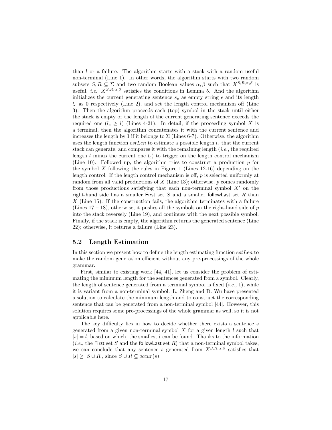than l or a failure. The algorithm starts with a stack with a random useful non-terminal (Line 1). In other words, the algorithm starts with two random subsets  $S, R \subseteq \Sigma$  and two random Boolean values  $\alpha, \beta$  such that  $X^{S,R,\alpha,\beta}$  is useful, *i.e.*  $X^{S,R,\alpha,\beta}$  satisfies the conditions in Lemma 5. And the algorithm initializes the current generating sentence  $s_c$  as empty string  $\epsilon$  and its length  $l_c$  as 0 respectively (Line 2), and set the length control mechanism off (Line 3). Then the algorithm proceeds each (top) symbol in the stack until either the stack is empty or the length of the current generating sentence exceeds the required one  $(l_c \geq l)$  (Lines 4-21). In detail, if the proceeding symbol X is a terminal, then the algorithm concatenates it with the current sentence and increases the length by 1 if it belongs to  $\Sigma$  (Lines 6-7). Otherwise, the algorithm uses the length function  $estLen$  to estimate a possible length  $l_r$  that the current stack can generate, and compares it with the remaining length  $(i.e.,$  the required length l minus the current one  $l_c$ ) to trigger on the length control mechanism (Line 10). Followed up, the algorithm tries to construct a production p for the symbol X following the rules in Figure 1 (Lines  $12-16$ ) depending on the length control. If the length control mechanism is off, p is selected uniformly at random from all valid productions of  $X$  (Line 13); otherwise,  $p$  comes randomly from those productions satisfying that each non-terminal symbol  $X'$  on the right-hand side has a smaller First set  $S$  and a smaller followLast set  $R$  than  $X$  (Line 15). If the construction fails, the algorithm terminates with a failure (Lines  $17 - 18$ ), otherwise, it pushes all the symbols on the right-hand side of p into the stack reversely (Line 19), and continues with the next possible symbol. Finally, if the stack is empty, the algorithm returns the generated sentence (Line 22); otherwise, it returns a failure (Line 23).

#### 5.2 Length Estimation

In this section we present how to define the length estimating function estLen to make the random generation efficient without any pre-processings of the whole grammar.

First, similar to existing work [44, 41], let us consider the problem of estimating the minimum length for the sentences generated from a symbol. Clearly, the length of sentence generated from a terminal symbol is fixed  $(i.e., 1)$ , while it is variant from a non-terminal symbol. L. Zheng and D. Wu have presented a solution to calculate the minimum length and to construct the corresponding sentence that can be generated from a non-terminal symbol [44]. However, this solution requires some pre-processings of the whole grammar as well, so it is not applicable here.

The key difficulty lies in how to decide whether there exists a sentence s generated from a given non-terminal symbol  $X$  for a given length  $l$  such that  $|s| = l$ , based on which, the smallest l can be found. Thanks to the information (*i.e.*, the First set S and the followLast set R) that a non-terminal symbol takes, we can conclude that any sentence s generated from  $X^{S,R,\alpha,\beta}$  satisfies that  $|s| > |S \cup R|$ , since  $S \cup R \subseteq occur(s)$ .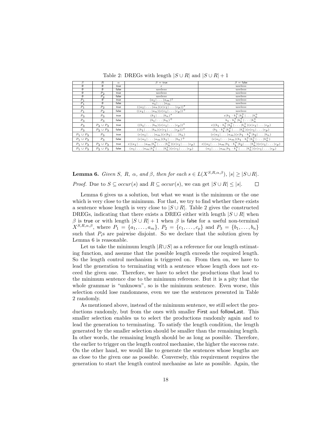| S              | $\overline{R}$ | $\alpha$ | $\beta = \text{true}$                                                              | $\beta =$ false                                                                                      |
|----------------|----------------|----------|------------------------------------------------------------------------------------|------------------------------------------------------------------------------------------------------|
| Ø              | Ø              | true     | $\varepsilon$                                                                      | useless                                                                                              |
| Ø              | Ø              | false    | useless                                                                            | useless                                                                                              |
| Ø              | P <sub>2</sub> | true     | useless                                                                            | useless                                                                                              |
| Ø              | P <sub>2</sub> | false    | useless                                                                            | useless                                                                                              |
| $P_1$          | Ø              | true     | $(a_1   \ldots   a_m)?$                                                            | useless                                                                                              |
| $P_1$          | Ø              | false    | $a_1   \ldots   a_m$                                                               | useless                                                                                              |
| $P_1$          | P <sub>2</sub> | true     | $((a_1 \ldots a_n)(\varepsilon c_1 \ldots c_p))^*$                                 | useless                                                                                              |
| $P_1$          | P <sub>2</sub> | false    | $((a_1 \ldots a_n)(\varepsilon c_1 \ldots c_p))^+$                                 | useless                                                                                              |
| $P_3$          | $P_3$          | true     | $(b_1 \ldots b_n)^*$                                                               | $\varepsilon  b_1 \cdot b_1^+ b_2^+  \dots  b_n^+ $                                                  |
| $P_3$          | $P_3$          | false    | $(b_1 \ldots b_n)^+$                                                               | $b_1 \cdot b_1^+   b_2^+   \ldots   b_n^+$                                                           |
| $P_3$          | $P_2 \cup P_3$ | true     | $((b_1   \ldots   b_n)(\varepsilon   c_1   \ldots   c_p))^*$                       | $\frac{\varepsilon}{\varepsilon (b_1 \cdot b_1^+ b_2^+  \dots  b_n^+)(\varepsilon c_1  \dots  c_p)}$ |
| $P_3$          | $P_2 \cup P_3$ | false    | $((b_1   \ldots   b_n)(\varepsilon   c_1   \ldots   c_p))^{+}$                     | $(b_1 \cdot b_1^+   b_2^+   \ldots   b_n^+)(\varepsilon   c_1   \ldots   c_p)$                       |
| $P_1 \cup P_3$ | $P_3$          | true     | $(\varepsilon  a_1  \ldots  a_m)(\varepsilon  b_1  \ldots  b_n)$                   | $(\varepsilon  a_1  \ldots  a_m)(\varepsilon  b_1 \cdot b_1^+ b_2  \ldots  b_n)$                     |
| $P_1 \cup P_2$ | $P_3$          | false    | $(\varepsilon  a_1  \ldots  a_m)(b_1  \ldots  b_n)^+$                              | $(\varepsilon  a_1  \ldots  a_m)(b_1 \cdot b_1^+  b_2^+  \ldots  b_n^+)$                             |
| $P_1 \cup P_3$ | $P_2 \cup P_3$ | true     | $\varepsilon  (a_1 \ldots  a_m b_1^+ \ldots  b_n^+)(\varepsilon  c_1 \ldots  c_p)$ | $\varepsilon  (a_1 \ldots  a_m b_1\cdot b_1^+ b_2 \ldots  b_n^+)(\varepsilon  c_1 \ldots  c_p)$      |
| $P_1 \cup P_3$ | $P_2 \cup P_3$ | false    | $(a_1   \ldots   a_m   b_1^+   \ldots   b_n^+)(\varepsilon   c_1   \ldots   c_p)$  | $(a_1   \ldots   a_m   b_1 \cdot b_1^+   \ldots   b_n^+) (\varepsilon   c_1   \ldots   c_p)$         |

Table 2: DREGs with length  $|S \cup R|$  and  $|S \cup R| + 1$ 

**Lemma 6.** Given S, R,  $\alpha$ , and  $\beta$ , then for each  $s \in L(X^{S,R,\alpha,\beta})$ ,  $|s| \geq |S \cup R|$ . *Proof.* Due to  $S \subseteq occur(s)$  and  $R \subseteq occur(s)$ , we can get  $|S \cup R| \leq |s|$ .  $\Box$ 

Lemma 6 gives us a solution, but what we want is the minimum or the one which is very close to the minimum. For that, we try to find whether there exists a sentence whose length is very close to  $|S \cup R|$ . Table 2 gives the constructed DREGs, indicating that there exists a DREG either with length  $|S \cup R|$  when β is true or with length  $|S \cup R| + 1$  when β is false for a useful non-terminal  $X^{S,R,\alpha,\beta}$ , where  $P_1 = \{a_1,\ldots,a_m\}$ ,  $P_2 = \{c_1,\ldots,c_p\}$  and  $P_3 = \{b_1,\ldots,b_n\}$ such that  $P_i$ s are pairwise disjoint. So we declare that the solution given by Lemma 6 is reasonable.

Let us take the minimum length  $|R\cup S|$  as a reference for our length estimating function, and assume that the possible length exceeds the required length. So the length control mechanism is triggered on. From then on, we have to lead the generation to terminating with a sentence whose length does not exceed the given one. Therefore, we have to select the productions that lead to the minimum sentence due to the minimum reference. But it is a pity that the whole grammar is "unknown", so is the minimum sentence. Even worse, this selection could lose randomness, even we use the sentences presented in Table 2 randomly.

As mentioned above, instead of the minimum sentence, we still select the productions randomly, but from the ones with smaller First and followLast. This smaller selection enables us to select the productions randomly again and to lead the generation to terminating. To satisfy the length condition, the length generated by the smaller selection should be smaller than the remaining length. In other words, the remaining length should be as long as possible. Therefore, the earlier to trigger on the length control mechanise, the higher the success rate. On the other hand, we would like to generate the sentences whose lengths are as close to the given one as possible. Conversely, this requirement requires the generation to start the length control mechanise as late as possible. Again, the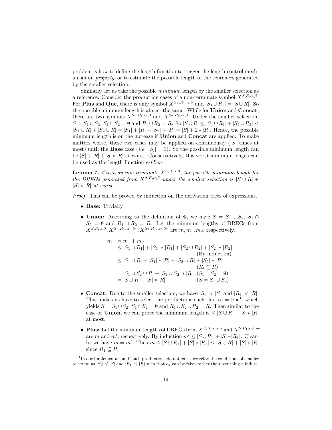problem is how to define the length function to trigger the length control mechanism on properly, or to estimate the possible length of the sentences generated by the smaller selection.

Similarly, let us take the possible minimum length by the smaller selection as a reference. Consider the production cases of a non-terminate symbol  $X^{S,R,\alpha,\beta}$ . For **Plus** and Que, there is only symbol  $X^{S_1,R_1,\alpha,\beta}$  and  $|S_1 \cup R_1| = |S \cup R|$ . So the possible minimum length is almost the same. While for **Union** and **Concat**, there are two symbols  $X^{S_1,R_1,\alpha,\beta}$  and  $X^{S_2,R_2,\alpha,\beta}$ . Under the smaller selection,  $S = S_1 \cup S_2, S_1 \cap S_2 = \emptyset$  and  $R_1 \cup R_2 = R$ . So  $|S \cup R| \leq |S_1 \cup R_1| + |S_2 \cup R_2|$  $|S_1 \cup R| + |S_2 \cup R| = |S_1| + |R| + |S_2| + |R| = |S| + 2 * |R|$ . Hence, the possible minimum length is on the increase if Union and Concat are applied. To make matters worse, these two cases may be applied on continuously  $(|S|)$  times at most) until the **Base** case (*i.e.*  $|S_i| = 1$ ). So the possible minimum length can be  $|S| + |R| + |S| * |R|$  at worst. Conservatively, this worst minimum length can be used as the length function estLen.

**Lemma 7.** Given an non-terminate  $X^{S,R,\alpha,\beta}$ , the possible minimum length for the DREGs generated from  $X^{S,R,\alpha,\beta}$  under the smaller selection is  $|S \cup R|$  +  $|S| * |R|$  at worse.

Proof. This can be proved by induction on the derivation trees of expressions.

- Base: Trivially.
- Union: According to the definition of  $\Phi$ , we have  $S = S_1 \cup S_2$ ,  $S_1 \cap$  $S_2 = \emptyset$  and  $R_1 \cup R_2 = R$ . Let the minimum lengths of DREGs from  $X^{S,R,\alpha,\beta}, X^{S_1,R_1,\alpha_1,\beta_1}, X^{S_2,R_2,\alpha_2,\beta_2}$  are  $m, m_1, m_2$ , respectively.

$$
m = m_1 + m_2
$$
  
\n
$$
\leq |S_1 \cup R_1| + |S_1| * |R_1| + |S_2 \cup R_2| + |S_2| * |R_2|
$$
  
\n
$$
\leq |S_1 \cup R| + |S_1| * |R| + |S_2 \cup R| + |S_2| * |R|
$$
  
\n
$$
= |S_1 \cup S_2 \cup R| + |S_1 \cup S_2| * |R| \quad (S_1 \cap S_2 = \emptyset)
$$
  
\n
$$
= |S \cup R| + |S| * |R| \quad (S = S_1 \cup S_2)
$$

- Concat: Due to the smaller selection, we have  $|S_i| < |S|$  and  $|R_i| < |R|$ . This makes us have to select the productions such that  $\alpha_i = \text{true}^1$ , which yields  $S = S_1 \cup S_2$ ,  $S_1 \cap S_2 = \emptyset$  and  $R_1 \cup S_2 \cup R_2 = R$ . Then similar to the case of Union, we can prove the minimum length is  $\leq |S \cup R| + |S| * |R|$ at most.
- Plus: Let the minimum lengths of DREGs from  $X^{S,R,\alpha,\text{true}}$  and  $X^{S,R_1,\alpha,\text{true}}$ are m and m', respectively. By induction  $m' \leq |S \cup R_1| + |S| * |R_1|$ . Clearly, we have  $m = m'$ . Thus  $m \leq |S \cup R_1| + |S| * |R_1| \leq |S \cup R| + |S| * |R|$ since  $R_1 \subset R$ .

<sup>&</sup>lt;sup>1</sup>In our implementation, if such productions do not exist, we relax the conditions of smaller selection as  $|S_i| \leq |S|$  and  $|R_i| \leq |R|$  such that  $\alpha_i$  can be false, rather than returning a failure.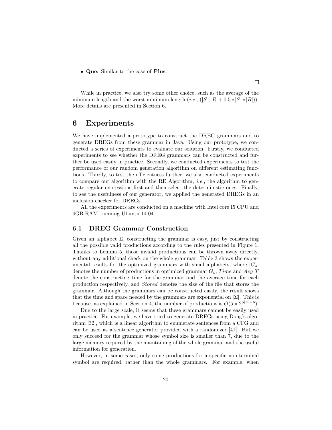• Que: Similar to the case of Plus.

While in practice, we also try some other choice, such as the average of the minimum length and the worst minimum length  $(i.e., (|S \cup R| + 0.5 * |S| * |R|)).$ More details are presented in Section 6.

## 6 Experiments

We have implemented a prototype to construct the DREG grammars and to generate DREGs from these grammar in Java. Using our prototype, we conducted a series of experiments to evaluate our solution. Firstly, we conducted experiments to see whether the DREG grammars can be constructed and further be used easily in practice. Secondly, we conducted experiments to test the performance of our random generation algorithm on different estimating functions. Thirdly, to test the efficientness further, we also conducted experiments to compare our algorithm with the RE Algorithm, *i.e.*, the algorithm to generate regular expressions first and then select the deterministic ones. Finally, to see the usefulness of our generator, we applied the generated DREGs in an inclusion checker for DREGs.

All the experiments are conducted on a machine with Intel core I5 CPU and 4GB RAM, running Ubuntu 14.04.

#### 6.1 DREG Grammar Construction

Given an alphabet  $\Sigma$ , constructing the grammar is easy, just by constructing all the possible valid productions according to the rules presented in Figure 1. Thanks to Lemma 5, those invalid productions can be thrown away directly, without any additional check on the whole grammar. Table 3 shows the experimental results for the optimized grammars with small alphabets, where  $|G_{o}|$ denotes the number of productions in optimized grammar  $G_o$ , Time and Avg.T denote the constructing time for the grammar and the average time for each production respectively, and Stored denotes the size of the file that stores the grammar. Although the grammars can be constructed easily, the result shows that the time and space needed by the grammars are exponential on  $|\Sigma|$ . This is because, as explained in Section 4, the number of productions is  $O(5 \times 2^{6|\Sigma|+6})$ .

Due to the large scale, it seems that these grammars cannot be easily used in practice. For example, we have tried to generate DREGs using Dong's algorithm [32], which is a linear algorithm to enumerate sentences from a CFG and can be used as a sentence generator provided with a randomizer [41]. But we only succeed for the grammar whose symbol size is smaller than 7, due to the large memory required by the maintaining of the whole grammar and the useful information for generation.

However, in some cases, only some productions for a specific non-terminal symbol are required, rather than the whole grammars. For example, when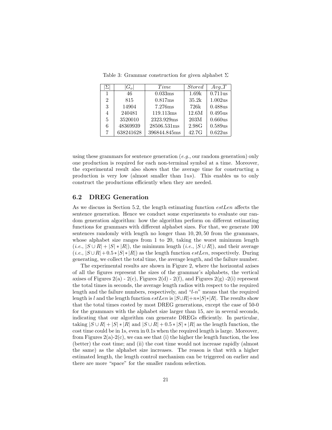|                | $G_{\alpha}$ | Time         | <i>Stored</i> | $Avg_T$ |
|----------------|--------------|--------------|---------------|---------|
| 1              | 46           | 0.033ms      | 1.69k         | 0.711us |
| $\mathfrak{D}$ | 815          | 0.817ms      | 35.2k         | 1.002us |
| 3              | 14904        | 7.276ms      | 726k          | 0.488us |
| 4              | 240481       | 119.113ms    | 12.6M         | 0.495us |
| 5              | 3520010      | 2323.929ms   | 203M          | 0.660us |
| 6              | 48369939     | 28506.531ms  | 2.98G         | 0.589us |
| 7              | 638241628    | 396844.845ms | 42.7G         | 0.622us |

Table 3: Grammar construction for given alphabet  $\Sigma$ 

using these grammars for sentence generation ( $e.g.,$  our random generation) only one production is required for each non-terminal symbol at a time. Moreover, the experimental result also shows that the average time for constructing a production is very low (almost smaller than 1us). This enables us to only construct the productions efficiently when they are needed.

#### 6.2 DREG Generation

As we discuss in Section 5.2, the length estimating function estLen affects the sentence generation. Hence we conduct some experiments to evaluate our random generation algorithm: how the algorithm perform on different estimating functions for grammars with different alphabet sizes. For that, we generate 100 sentences randomly with length no longer than 10, 20, 50 from the grammars, whose alphabet size ranges from 1 to 20, taking the worst minimum length  $(i.e., |S \cup R| + |S| * |R|)$ , the minimum length  $(i.e., |S \cup R|)$ , and their average  $(i.e., |S \cup R| + 0.5 * |S| * |R|)$  as the length function *estLen*, respectively. During generating, we collect the total time, the average length, and the failure number.

The experimental results are shown in Figure 2, where the horizontal axises of all the figures represent the sizes of the grammar's alphabets, the vertical axises of Figures 2(a) - 2(c), Figures 2(d) - 2(f), and Figures 2(g) - 2(i) represent the total times in seconds, the average length radios with respect to the required length and the failure numbers, respectively, and  $\lq$ -n" means that the required length is l and the length function  $estLen$  is  $|S \cup R| + n*|S| * |R|$ . The results show that the total times costed by most DREG generations, except the case of 50-0 for the grammars with the alphabet size larger than 15, are in several seconds, indicating that our algorithm can generate DREGs efficiently. In particular, taking  $|S \cup R| + |S| * |R|$  and  $|S \cup R| + 0.5 * |S| * |R|$  as the length function, the cost time could be in 1s, even in 0.1s when the required length is large. Moreover, from Figures  $2(a)-2(c)$ , we can see that (i) the higher the length function, the less (better) the cost time; and (ii) the cost time would not increase rapidly (almost the same) as the alphabet size increases. The reason is that with a higher estimated length, the length control mechanism can be triggered on earlier and there are more "space" for the smaller random selection.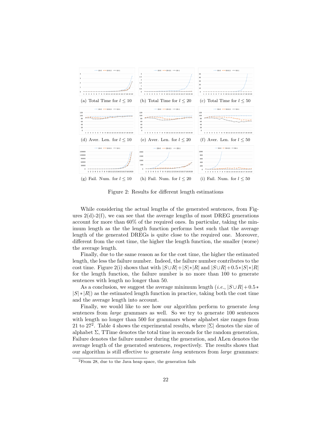

Figure 2: Results for different length estimations

While considering the actual lengths of the generated sentences, from Figures  $2(d)-2(f)$ , we can see that the average lengths of most DREG generations account for more than 60% of the required ones. In particular, taking the minimum length as the the length function performs best such that the average length of the generated DREGs is quite close to the required one. Moreover, different from the cost time, the higher the length function, the smaller (worse) the average length.

Finally, due to the same reason as for the cost time, the higher the estimated length, the less the failure number. Indeed, the failure number contributes to the cost time. Figure 2(i) shows that with  $|S \cup R| + |S| * |R|$  and  $|S \cup R| + 0.5 * |S| * |R|$ for the length function, the failure number is no more than 100 to generate sentences with length no longer than 50.

As a conclusion, we suggest the average minimum length (*i.e.*,  $|S \cup R| + 0.5*$  $|S| * |R|$ ) as the estimated length function in practice, taking both the cost time and the average length into account.

Finally, we would like to see how our algorithm perform to generate long sentences from large grammars as well. So we try to generate 100 sentences with length no longer than 500 for grammars whose alphabet size ranges from 21 to 27<sup>2</sup>. Table 4 shows the experimental results, where  $|\Sigma|$  denotes the size of alphabet  $\Sigma$ , TTime denotes the total time in seconds for the random generation, Failure denotes the failure number during the generation, and ALen denotes the average length of the generated sentences, respectively. The results shows that our algorithm is still effective to generate long sentences from large grammars:

<sup>2</sup>From 28, due to the Java heap space, the generation fails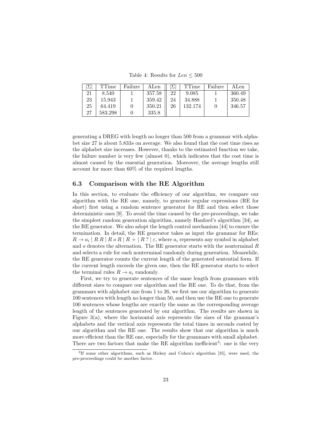Table 4: Results for  $Len < 500$ 

|    | TTime   | Failure | ALen   |    | <b>TTime</b> | Failure | ALen   |
|----|---------|---------|--------|----|--------------|---------|--------|
| 21 | 8.540   |         | 357.58 | 22 | 9.085        |         | 360.49 |
| 23 | 15.943  |         | 359.42 | 24 | 34.888       |         | 350.48 |
| 25 | 64.419  |         | 350.21 | 26 | 132.174      |         | 346.57 |
| 27 | 583.298 |         | 335.8  |    |              |         |        |

generating a DREG with length no longer than 500 from a grammar with alphabet size 27 is about 5.833s on average. We also found that the cost time rises as the alphabet size increases. However, thanks to the estimated function we take, the failure number is very few (almost 0), which indicates that the cost time is almost caused by the essential generation. Moreover, the average lengths still account for more than 60% of the required lengths.

#### 6.3 Comparison with the RE Algorithm

In this section, to evaluate the efficiency of our algorithm, we compare our algorithm with the RE one, namely, to generate regular expressions (RE for short) first using a random sentence generator for RE and then select those deterministic ones [9]. To avoid the time caused by the pre-proceedings, we take the simplest random generation algorithm, namely Hanford's algorithm [34], as the RE generator. We also adopt the length control mechanism [44] to ensure the termination. In detail, the RE generator takes as input the grammar for REs:  $R \to a_i | R R | R o R | R + | R ? | \varepsilon$ , where  $a_i$  represents any symbol in alphabet and  $o$  denotes the alternation. The RE generator starts with the nonterminal  $R$ and selects a rule for each nonterminal randomly during generation. Meanwhile, the RE generator counts the current length of the generated sentential form. If the current length exceeds the given one, then the RE generator starts to select the terminal rules  $R \to a_i$  randomly.

First, we try to generate sentences of the same length from grammars with different sizes to compare our algorithm and the RE one. To do that, from the grammars with alphabet size from 1 to 26, we first use our algorithm to generate 100 sentences with length no longer than 50, and then use the RE one to generate 100 sentences whose lengths are exactly the same as the corresponding average length of the sentences generated by our algorithm. The results are shown in Figure  $3(a)$ , where the horizontal axis represents the sizes of the grammar's alphabets and the vertical axis represents the total times in seconds costed by our algorithm and the RE one. The results show that our algorithm is much more efficient than the RE one, especially for the grammars with small alphabet. There are two factors that make the RE algorithm inefficient<sup>3</sup>: one is the very

<sup>3</sup> If some other algorithms, such as Hickey and Cohen's algorithm [35], were used, the pre-proceedings could be another factor.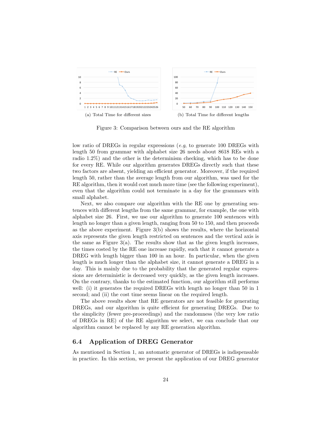

Figure 3: Comparison between ours and the RE algorithm

low ratio of DREGs in regular expressions (e.g, to generate 100 DREGs with length 50 from grammar with alphabet size 26 needs about 8618 REs with a radio 1.2%) and the other is the determinism checking, which has to be done for every RE. While our algorithm generates DREGs directly such that these two factors are absent, yielding an efficient generator. Moreover, if the required length 50, rather than the average length from our algorithm, was used for the RE algorithm, then it would cost much more time (see the following experiment), even that the algorithm could not terminate in a day for the grammars with small alphabet.

Next, we also compare our algorithm with the RE one by generating sentences with different lengths from the same grammar, for example, the one with alphabet size 26. First, we use our algorithm to generate 100 sentences with length no longer than a given length, ranging from 50 to 150, and then proceeds as the above experiment. Figure 3(b) shows the results, where the horizontal axis represents the given length restricted on sentences and the vertical axis is the same as Figure  $3(a)$ . The results show that as the given length increases, the times costed by the RE one increase rapidly, such that it cannot generate a DREG with length bigger than 100 in an hour. In particular, when the given length is much longer than the alphabet size, it cannot generate a DREG in a day. This is mainly due to the probability that the generated regular expressions are deterministic is decreased very quickly, as the given length increases. On the contrary, thanks to the estimated function, our algorithm still performs well: (i) it generates the required DREGs with length no longer than 50 in 1 second; and (ii) the cost time seems linear on the required length.

The above results show that RE generators are not feasible for generating DREGs, and our algorithm is quite efficient for generating DREGs. Due to the simplicity (fewer pre-proceedings) and the randomness (the very low ratio of DREGs in RE) of the RE algorithm we select, we can conclude that our algorithm cannot be replaced by any RE generation algorithm.

#### 6.4 Application of DREG Generator

As mentioned in Section 1, an automatic generator of DREGs is indispensable in practice. In this section, we present the application of our DREG generator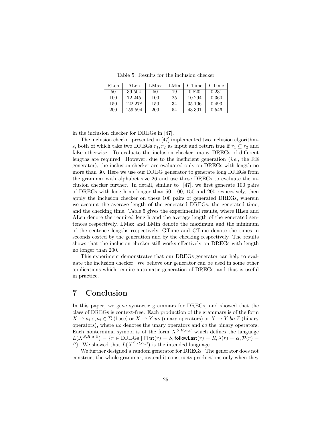Table 5: Results for the inclusion checker

| RLen-      | ALen    | LMax       | LMin | <b>GTime</b> | <b>CTime</b> |
|------------|---------|------------|------|--------------|--------------|
| 50         | 39.504  | 50         | 19   | 0.820        | 0.231        |
| 100        | 72.245  | 100        | 25   | 10.294       | 0.360        |
| 150        | 122.278 | 150        | 34   | 35.106       | 0.493        |
| <b>200</b> | 159.594 | <b>200</b> | 54   | 43.301       | 0.546        |

in the inclusion checker for DREGs in [47].

The inclusion checker presented in [47] implemented two inclusion algorithms, both of which take two DREGs  $r_1, r_2$  as input and return true if  $r_1 \subseteq r_2$  and false otherwise. To evaluate the inclusion checker, many DREGs of different lengths are required. However, due to the inefficient generation (*i.e.*, the RE generator), the inclusion checker are evaluated only on DREGs with length no more than 30. Here we use our DREG generator to generate long DREGs from the grammar with alphabet size 26 and use these DREGs to evaluate the inclusion checker further. In detail, similar to [47], we first generate 100 pairs of DREGs with length no longer than 50, 100, 150 and 200 respectively, then apply the inclusion checker on these 100 pairs of generated DREGs, wherein we account the average length of the generated DREGs, the generated time, and the checking time. Table 5 gives the experimental results, where RLen and ALen denote the required length and the average length of the generated sentences respectively, LMax and LMin denote the maximum and the minimum of the sentence lengths respectively, GTime and CTime denote the times in seconds costed by the generation and by the checking respectively. The results shows that the inclusion checker still works effectively on DREGs with length no longer than 200.

This experiment demonstrates that our DREGs generator can help to evaluate the inclusion checker. We believe our generator can be used in some other applications which require automatic generation of DREGs, and thus is useful in practice.

## 7 Conclusion

In this paper, we gave syntactic grammars for DREGs, and showed that the class of DREGs is context-free. Each production of the grammars is of the form  $X \to a_i | \varepsilon, a_i \in \Sigma$  (base) or  $X \to Y$  uo (unary operators) or  $X \to Y$  bo Z (binary operators), where uo denotes the unary operators and bo the binary operators. Each nonterminal symbol is of the form  $X^{S,R,\alpha,\beta}$  which defines the language  $L(X^{S,R,\alpha,\beta}) = \{r \in \overline{\mathrm{DREGs}} \mid \mathsf{First}(r) = S, \mathsf{followLast}(r) = R, \lambda(r) = \alpha, \mathcal{P}(r) = \emptyset\}$ β}. We showed that  $L(X^{S,R,\alpha,\beta})$  is the intended language.

We further designed a random generator for DREGs. The generator does not construct the whole grammar, instead it constructs productions only when they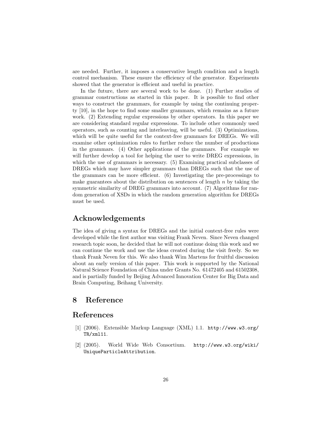are needed. Further, it imposes a conservative length condition and a length control mechanism. These ensure the efficiency of the generator. Experiments showed that the generator is efficient and useful in practice.

In the future, there are several work to be done. (1) Further studies of grammar constructions as started in this paper. It is possible to find other ways to construct the grammars, for example by using the continuing property [10], in the hope to find some smaller grammars, which remains as a future work. (2) Extending regular expressions by other operators. In this paper we are considering standard regular expressions. To include other commonly used operators, such as counting and interleaving, will be useful. (3) Optimizations, which will be quite useful for the context-free grammars for DREGs. We will examine other optimization rules to further reduce the number of productions in the grammars. (4) Other applications of the grammars. For example we will further develop a tool for helping the user to write DREG expressions, in which the use of grammars is necessary. (5) Examining practical subclasses of DREGs which may have simpler grammars than DREGs such that the use of the grammars can be more efficient. (6) Investigating the pre-processings to make guarantees about the distribution on sentences of length  $n$  by taking the symmetric similarity of DREG grammars into account. (7) Algorithms for random generation of XSDs in which the random generation algorithm for DREGs must be used.

## Acknowledgements

The idea of giving a syntax for DREGs and the initial context-free rules were developed while the first author was visiting Frank Neven. Since Neven changed research topic soon, he decided that he will not continue doing this work and we can continue the work and use the ideas created during the visit freely. So we thank Frank Neven for this. We also thank Wim Martens for fruitful discussion about an early version of this paper. This work is supported by the National Natural Science Foundation of China under Grants No. 61472405 and 61502308, and is partially funded by Beijing Advanced Innovation Center for Big Data and Brain Computing, Beihang University.

## 8 Reference

### References

- [1] (2006). Extensible Markup Language (XML) 1.1. http://www.w3.org/ TR/xml11.
- [2] (2005). World Wide Web Consortium. http://www.w3.org/wiki/ UniqueParticleAttribution.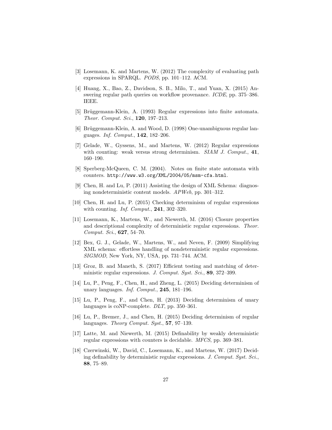- [3] Losemann, K. and Martens, W. (2012) The complexity of evaluating path expressions in SPARQL. PODS, pp. 101–112. ACM.
- [4] Huang, X., Bao, Z., Davidson, S. B., Milo, T., and Yuan, X. (2015) Answering regular path queries on workflow provenance. ICDE, pp. 375–386. IEEE.
- [5] Brüggemann-Klein, A. (1993) Regular expressions into finite automata. Theor. Comput. Sci., 120, 197–213.
- [6] Brüggemann-Klein, A. and Wood, D. (1998) One-unambiguous regular languages. Inf. Comput., 142, 182–206.
- [7] Gelade, W., Gyssens, M., and Martens, W. (2012) Regular expressions with counting: weak versus strong determinism. SIAM J. Comput., 41, 160–190.
- [8] Sperberg-McQueen, C. M. (2004). Notes on finite state automata with counters. http://www.w3.org/XML/2004/05/msm-cfa.html.
- [9] Chen, H. and Lu, P. (2011) Assisting the design of XML Schema: diagnosing nondeterministic content models. APWeb, pp. 301–312.
- [10] Chen, H. and Lu, P. (2015) Checking determinism of regular expressions with counting. *Inf. Comput.*, **241**, 302-320.
- [11] Losemann, K., Martens, W., and Niewerth, M. (2016) Closure properties and descriptional complexity of deterministic regular expressions. Theor. Comput. Sci., 627, 54–70.
- [12] Bex, G. J., Gelade, W., Martens, W., and Neven, F. (2009) Simplifying XML schema: effortless handling of nondeterministic regular expressions. SIGMOD, New York, NY, USA, pp. 731–744. ACM.
- [13] Groz, B. and Maneth, S. (2017) Efficient testing and matching of deterministic regular expressions. J. Comput. Syst. Sci., 89, 372-399.
- [14] Lu, P., Peng, F., Chen, H., and Zheng, L. (2015) Deciding determinism of unary languages. Inf. Comput., 245, 181–196.
- [15] Lu, P., Peng, F., and Chen, H. (2013) Deciding determinism of unary languages is coNP-complete. DLT, pp. 350–361.
- [16] Lu, P., Bremer, J., and Chen, H. (2015) Deciding determinism of regular languages. *Theory Comput. Syst.*, **57**, 97–139.
- [17] Latte, M. and Niewerth, M. (2015) Definability by weakly deterministic regular expressions with counters is decidable. MFCS, pp. 369–381.
- [18] Czerwinski, W., David, C., Losemann, K., and Martens, W. (2017) Deciding definability by deterministic regular expressions. J. Comput. Syst. Sci., 88, 75–89.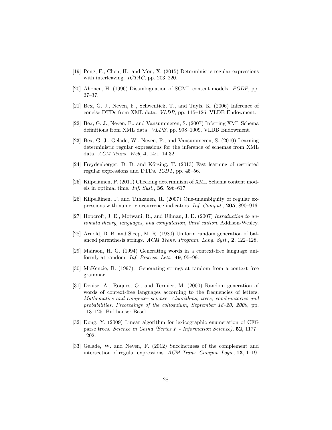- [19] Peng, F., Chen, H., and Mou, X. (2015) Deterministic regular expressions with interleaving. ICTAC, pp. 203-220.
- [20] Ahonen, H. (1996) Disambiguation of SGML content models. PODP, pp. 27–37.
- [21] Bex, G. J., Neven, F., Schwentick, T., and Tuyls, K. (2006) Inference of concise DTDs from XML data. VLDB, pp. 115–126. VLDB Endowment.
- [22] Bex, G. J., Neven, F., and Vansummeren, S. (2007) Inferring XML Schema definitions from XML data. VLDB, pp. 998–1009. VLDB Endowment.
- [23] Bex, G. J., Gelade, W., Neven, F., and Vansummeren, S. (2010) Learning deterministic regular expressions for the inference of schemas from XML data. ACM Trans. Web, 4, 14:1–14:32.
- [24] Freydenberger, D. D. and Kötzing, T. (2013) Fast learning of restricted regular expressions and DTDs. ICDT, pp. 45–56.
- [25] Kilpeläinen, P. (2011) Checking determinism of XML Schema content models in optimal time. Inf. Syst.,  $36, 596-617$ .
- [26] Kilpeläinen, P. and Tuhkanen, R. (2007) One-unambiguity of regular expressions with numeric occurrence indicators. Inf. Comput., 205, 890–916.
- [27] Hopcroft, J. E., Motwani, R., and Ullman, J. D. (2007) Introduction to automata theory, languages, and computation, third edition. Addison-Wesley.
- [28] Arnold, D. B. and Sleep, M. R. (1980) Uniform random generation of balanced parenthesis strings. ACM Trans. Program. Lang. Syst., 2, 122–128.
- [29] Mairson, H. G. (1994) Generating words in a context-free language uniformly at random. Inf. Process. Lett., 49, 95–99.
- [30] McKenzie, B. (1997). Generating strings at random from a context free grammar.
- [31] Denise, A., Roques, O., and Termier, M. (2000) Random generation of words of context-free languages according to the frequencies of letters. Mathematics and computer science. Algorithms, trees, combinatorics and probabilities. Proceedings of the colloquium, September 18–20, 2000, pp. 113–125. Birkhäuser Basel.
- [32] Dong, Y. (2009) Linear algorithm for lexicographic enumeration of CFG parse trees. Science in China (Series F - Information Science), 52, 1177– 1202.
- [33] Gelade, W. and Neven, F. (2012) Succinctness of the complement and intersection of regular expressions. ACM Trans. Comput. Logic, 13, 1–19.